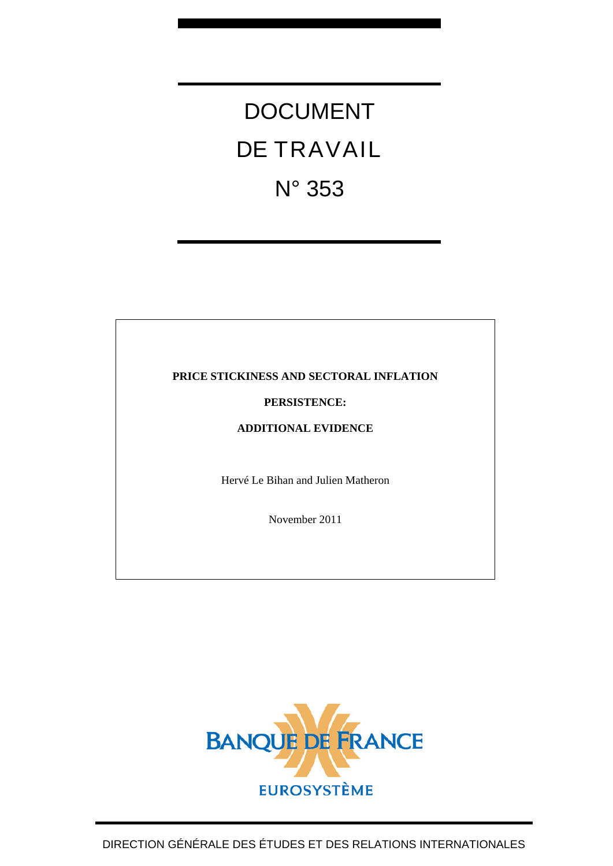# DOCUMENT DE TRAVAIL N° 353

# **PRICE STICKINESS AND SECTORAL INFLATION**

# **PERSISTENCE:**

# **ADDITIONAL EVIDENCE**

Hervé Le Bihan and Julien Matheron

November 2011

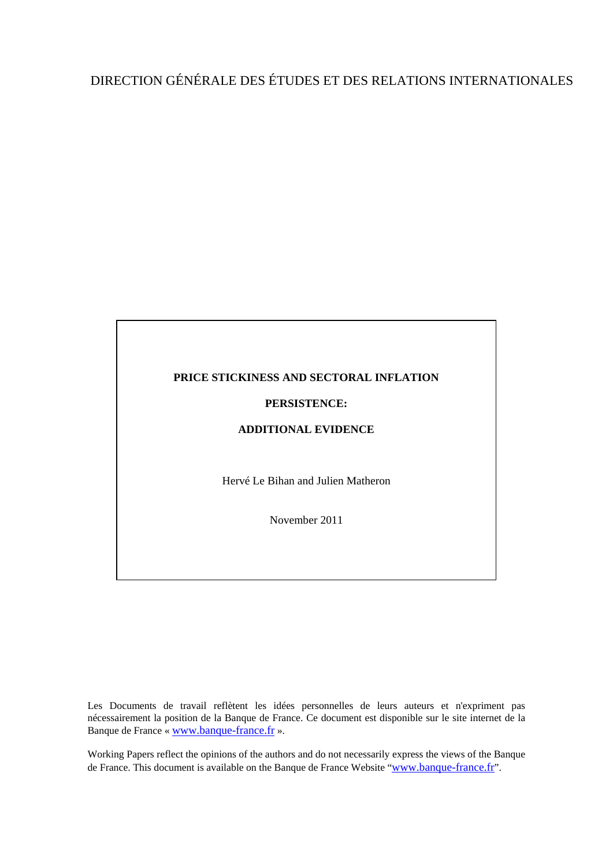# DIRECTION GÉNÉRALE DES ÉTUDES ET DES RELATIONS INTERNATIONALES



Les Documents de travail reflètent les idées personnelles de leurs auteurs et n'expriment pas nécessairement la position de la Banque de France. Ce document est disponible sur le site internet de la Banque de France « [www.banque-france.fr](http://www.banque-france.fr/) ».

Working Papers reflect the opinions of the authors and do not necessarily express the views of the Banque de France. This document is available on the Banque de France Website "[www.banque-france.fr](http://www.banque-france.fr/)".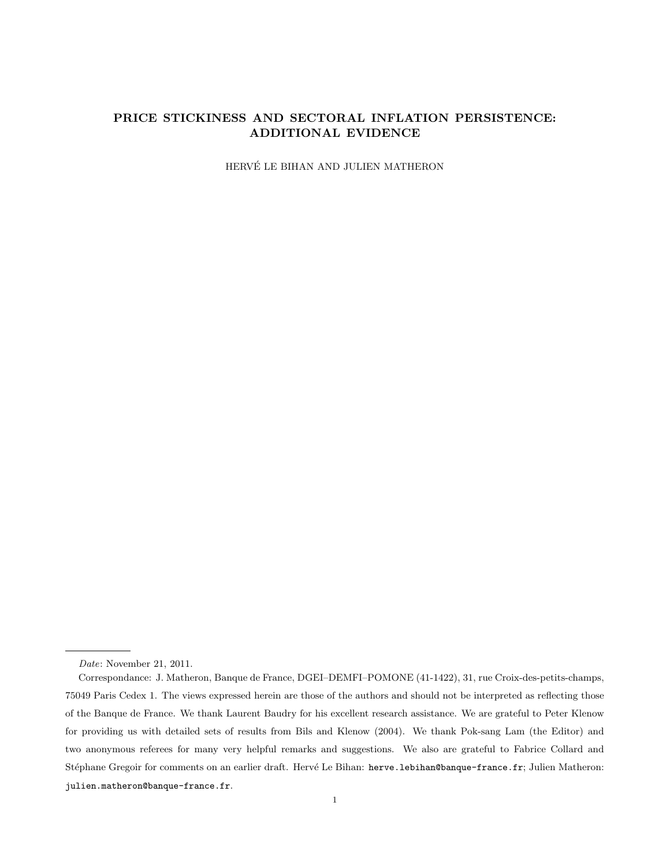## PRICE STICKINESS AND SECTORAL INFLATION PERSISTENCE: ADDITIONAL EVIDENCE

HERVÉ LE BIHAN AND JULIEN MATHERON

Date: November 21, 2011.

Correspondance: J. Matheron, Banque de France, DGEI–DEMFI–POMONE (41-1422), 31, rue Croix-des-petits-champs, 75049 Paris Cedex 1. The views expressed herein are those of the authors and should not be interpreted as reflecting those of the Banque de France. We thank Laurent Baudry for his excellent research assistance. We are grateful to Peter Klenow for providing us with detailed sets of results from Bils and Klenow (2004). We thank Pok-sang Lam (the Editor) and two anonymous referees for many very helpful remarks and suggestions. We also are grateful to Fabrice Collard and Stéphane Gregoir for comments on an earlier draft. Hervé Le Bihan: herve.1ebihan@banque-france.fr; Julien Matheron: julien.matheron@banque-france.fr.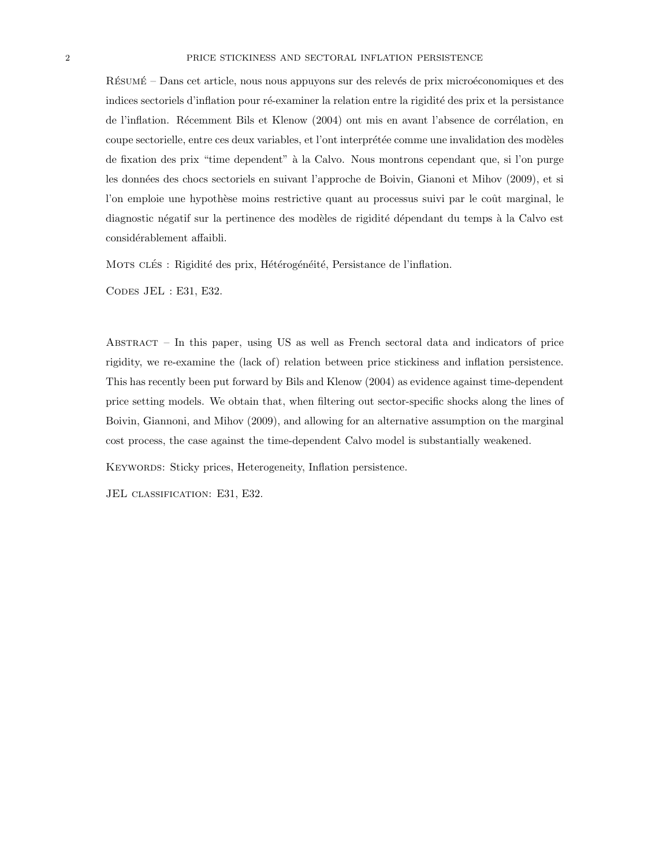RÉSUMÉ – Dans cet article, nous nous appuyons sur des relevés de prix microéconomiques et des indices sectoriels d'inflation pour ré-examiner la relation entre la rigidité des prix et la persistance de l'inflation. Récemment Bils et Klenow (2004) ont mis en avant l'absence de corrélation, en coupe sectorielle, entre ces deux variables, et l'ont interprétée comme une invalidation des modèles de fixation des prix "time dependent" à la Calvo. Nous montrons cependant que, si l'on purge les données des chocs sectoriels en suivant l'approche de Boivin, Gianoni et Mihov (2009), et si l'on emploie une hypothèse moins restrictive quant au processus suivi par le coût marginal, le diagnostic négatif sur la pertinence des modèles de rigidité dépendant du temps à la Calvo est considérablement affaibli.

MOTS CLÉS : Rigidité des prix, Hétérogénéité, Persistance de l'inflation.

Codes JEL : E31, E32.

Abstract – In this paper, using US as well as French sectoral data and indicators of price rigidity, we re-examine the (lack of) relation between price stickiness and inflation persistence. This has recently been put forward by Bils and Klenow (2004) as evidence against time-dependent price setting models. We obtain that, when filtering out sector-specific shocks along the lines of Boivin, Giannoni, and Mihov (2009), and allowing for an alternative assumption on the marginal cost process, the case against the time-dependent Calvo model is substantially weakened.

KEYWORDS: Sticky prices, Heterogeneity, Inflation persistence.

JEL classification: E31, E32.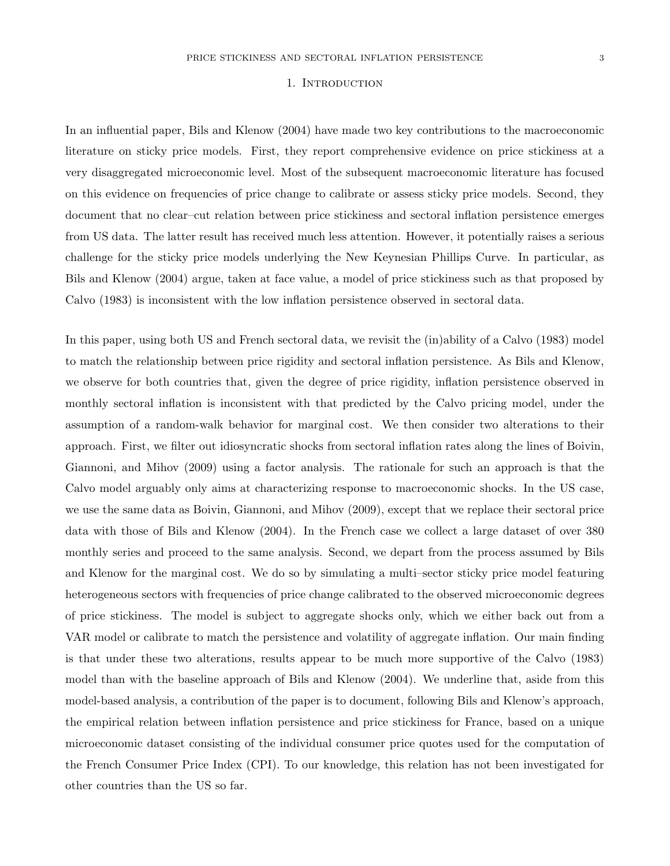#### 1. INTRODUCTION

In an influential paper, Bils and Klenow (2004) have made two key contributions to the macroeconomic literature on sticky price models. First, they report comprehensive evidence on price stickiness at a very disaggregated microeconomic level. Most of the subsequent macroeconomic literature has focused on this evidence on frequencies of price change to calibrate or assess sticky price models. Second, they document that no clear–cut relation between price stickiness and sectoral inflation persistence emerges from US data. The latter result has received much less attention. However, it potentially raises a serious challenge for the sticky price models underlying the New Keynesian Phillips Curve. In particular, as Bils and Klenow (2004) argue, taken at face value, a model of price stickiness such as that proposed by Calvo (1983) is inconsistent with the low inflation persistence observed in sectoral data.

In this paper, using both US and French sectoral data, we revisit the (in)ability of a Calvo (1983) model to match the relationship between price rigidity and sectoral inflation persistence. As Bils and Klenow, we observe for both countries that, given the degree of price rigidity, inflation persistence observed in monthly sectoral inflation is inconsistent with that predicted by the Calvo pricing model, under the assumption of a random-walk behavior for marginal cost. We then consider two alterations to their approach. First, we filter out idiosyncratic shocks from sectoral inflation rates along the lines of Boivin, Giannoni, and Mihov (2009) using a factor analysis. The rationale for such an approach is that the Calvo model arguably only aims at characterizing response to macroeconomic shocks. In the US case, we use the same data as Boivin, Giannoni, and Mihov (2009), except that we replace their sectoral price data with those of Bils and Klenow (2004). In the French case we collect a large dataset of over 380 monthly series and proceed to the same analysis. Second, we depart from the process assumed by Bils and Klenow for the marginal cost. We do so by simulating a multi–sector sticky price model featuring heterogeneous sectors with frequencies of price change calibrated to the observed microeconomic degrees of price stickiness. The model is subject to aggregate shocks only, which we either back out from a VAR model or calibrate to match the persistence and volatility of aggregate inflation. Our main finding is that under these two alterations, results appear to be much more supportive of the Calvo (1983) model than with the baseline approach of Bils and Klenow (2004). We underline that, aside from this model-based analysis, a contribution of the paper is to document, following Bils and Klenow's approach, the empirical relation between inflation persistence and price stickiness for France, based on a unique microeconomic dataset consisting of the individual consumer price quotes used for the computation of the French Consumer Price Index (CPI). To our knowledge, this relation has not been investigated for other countries than the US so far.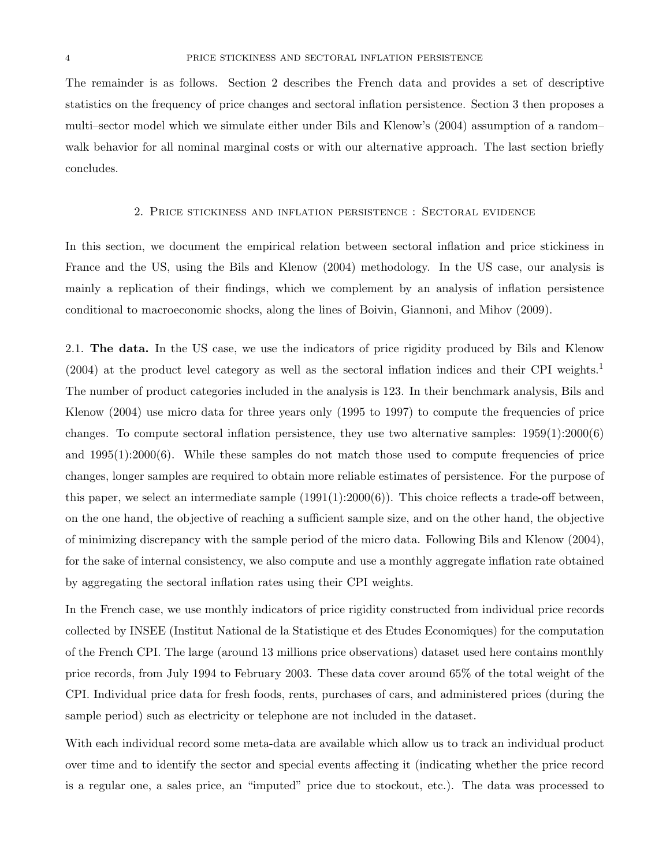The remainder is as follows. Section 2 describes the French data and provides a set of descriptive statistics on the frequency of price changes and sectoral inflation persistence. Section 3 then proposes a multi–sector model which we simulate either under Bils and Klenow's (2004) assumption of a random– walk behavior for all nominal marginal costs or with our alternative approach. The last section briefly concludes.

#### 2. Price stickiness and inflation persistence : Sectoral evidence

In this section, we document the empirical relation between sectoral inflation and price stickiness in France and the US, using the Bils and Klenow (2004) methodology. In the US case, our analysis is mainly a replication of their findings, which we complement by an analysis of inflation persistence conditional to macroeconomic shocks, along the lines of Boivin, Giannoni, and Mihov (2009).

2.1. The data. In the US case, we use the indicators of price rigidity produced by Bils and Klenow  $(2004)$  at the product level category as well as the sectoral inflation indices and their CPI weights.<sup>1</sup> The number of product categories included in the analysis is 123. In their benchmark analysis, Bils and Klenow (2004) use micro data for three years only (1995 to 1997) to compute the frequencies of price changes. To compute sectoral inflation persistence, they use two alternative samples:  $1959(1):2000(6)$ and  $1995(1):2000(6)$ . While these samples do not match those used to compute frequencies of price changes, longer samples are required to obtain more reliable estimates of persistence. For the purpose of this paper, we select an intermediate sample  $(1991(1):2000(6))$ . This choice reflects a trade-off between, on the one hand, the objective of reaching a sufficient sample size, and on the other hand, the objective of minimizing discrepancy with the sample period of the micro data. Following Bils and Klenow (2004), for the sake of internal consistency, we also compute and use a monthly aggregate inflation rate obtained by aggregating the sectoral inflation rates using their CPI weights.

In the French case, we use monthly indicators of price rigidity constructed from individual price records collected by INSEE (Institut National de la Statistique et des Etudes Economiques) for the computation of the French CPI. The large (around 13 millions price observations) dataset used here contains monthly price records, from July 1994 to February 2003. These data cover around 65% of the total weight of the CPI. Individual price data for fresh foods, rents, purchases of cars, and administered prices (during the sample period) such as electricity or telephone are not included in the dataset.

With each individual record some meta-data are available which allow us to track an individual product over time and to identify the sector and special events affecting it (indicating whether the price record is a regular one, a sales price, an "imputed" price due to stockout, etc.). The data was processed to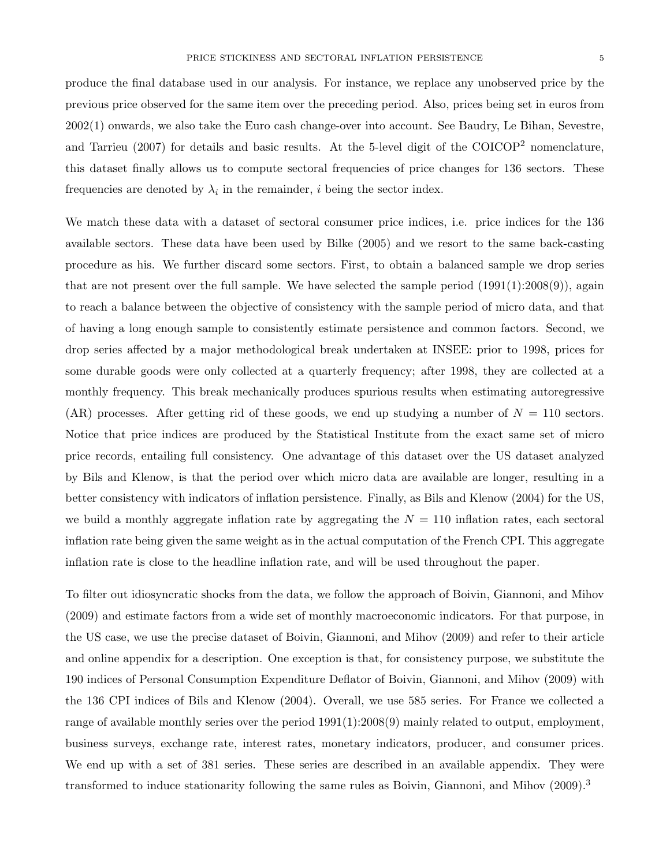produce the final database used in our analysis. For instance, we replace any unobserved price by the previous price observed for the same item over the preceding period. Also, prices being set in euros from 2002(1) onwards, we also take the Euro cash change-over into account. See Baudry, Le Bihan, Sevestre, and Tarrieu (2007) for details and basic results. At the 5-level digit of the COICOP<sup>2</sup> nomenclature, this dataset finally allows us to compute sectoral frequencies of price changes for 136 sectors. These frequencies are denoted by  $\lambda_i$  in the remainder, *i* being the sector index.

We match these data with a dataset of sectoral consumer price indices, i.e. price indices for the 136 available sectors. These data have been used by Bilke (2005) and we resort to the same back-casting procedure as his. We further discard some sectors. First, to obtain a balanced sample we drop series that are not present over the full sample. We have selected the sample period  $(1991(1):2008(9))$ , again to reach a balance between the objective of consistency with the sample period of micro data, and that of having a long enough sample to consistently estimate persistence and common factors. Second, we drop series affected by a major methodological break undertaken at INSEE: prior to 1998, prices for some durable goods were only collected at a quarterly frequency; after 1998, they are collected at a monthly frequency. This break mechanically produces spurious results when estimating autoregressive (AR) processes. After getting rid of these goods, we end up studying a number of  $N = 110$  sectors. Notice that price indices are produced by the Statistical Institute from the exact same set of micro price records, entailing full consistency. One advantage of this dataset over the US dataset analyzed by Bils and Klenow, is that the period over which micro data are available are longer, resulting in a better consistency with indicators of inflation persistence. Finally, as Bils and Klenow (2004) for the US, we build a monthly aggregate inflation rate by aggregating the  $N = 110$  inflation rates, each sectoral inflation rate being given the same weight as in the actual computation of the French CPI. This aggregate inflation rate is close to the headline inflation rate, and will be used throughout the paper.

To filter out idiosyncratic shocks from the data, we follow the approach of Boivin, Giannoni, and Mihov (2009) and estimate factors from a wide set of monthly macroeconomic indicators. For that purpose, in the US case, we use the precise dataset of Boivin, Giannoni, and Mihov (2009) and refer to their article and online appendix for a description. One exception is that, for consistency purpose, we substitute the 190 indices of Personal Consumption Expenditure Deflator of Boivin, Giannoni, and Mihov (2009) with the 136 CPI indices of Bils and Klenow (2004). Overall, we use 585 series. For France we collected a range of available monthly series over the period 1991(1):2008(9) mainly related to output, employment, business surveys, exchange rate, interest rates, monetary indicators, producer, and consumer prices. We end up with a set of 381 series. These series are described in an available appendix. They were transformed to induce stationarity following the same rules as Boivin, Giannoni, and Mihov (2009).<sup>3</sup>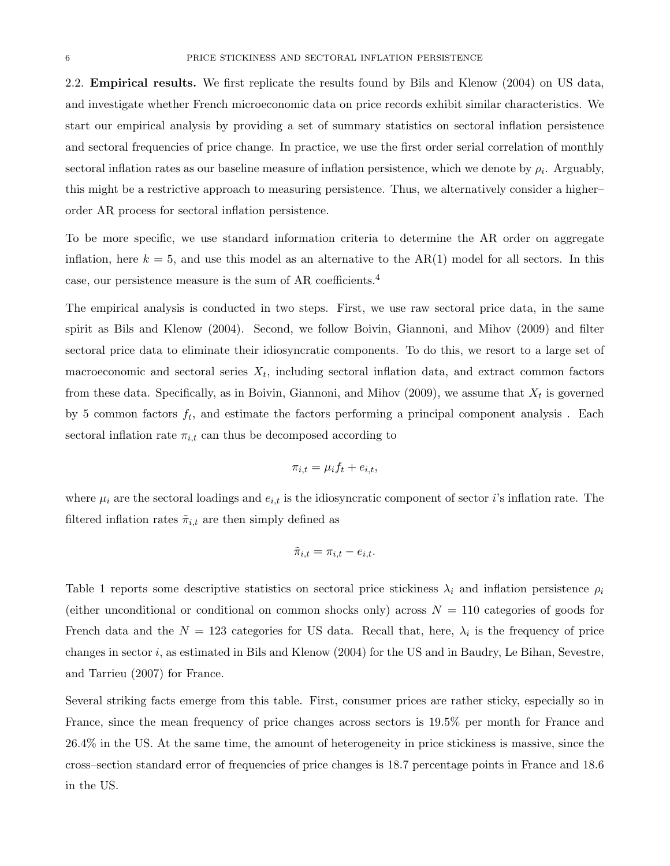2.2. Empirical results. We first replicate the results found by Bils and Klenow (2004) on US data, and investigate whether French microeconomic data on price records exhibit similar characteristics. We start our empirical analysis by providing a set of summary statistics on sectoral inflation persistence and sectoral frequencies of price change. In practice, we use the first order serial correlation of monthly sectoral inflation rates as our baseline measure of inflation persistence, which we denote by  $\rho_i$ . Arguably, this might be a restrictive approach to measuring persistence. Thus, we alternatively consider a higher– order AR process for sectoral inflation persistence.

To be more specific, we use standard information criteria to determine the AR order on aggregate inflation, here  $k = 5$ , and use this model as an alternative to the AR(1) model for all sectors. In this case, our persistence measure is the sum of AR coefficients.<sup>4</sup>

The empirical analysis is conducted in two steps. First, we use raw sectoral price data, in the same spirit as Bils and Klenow (2004). Second, we follow Boivin, Giannoni, and Mihov (2009) and filter sectoral price data to eliminate their idiosyncratic components. To do this, we resort to a large set of macroeconomic and sectoral series  $X_t$ , including sectoral inflation data, and extract common factors from these data. Specifically, as in Boivin, Giannoni, and Mihov  $(2009)$ , we assume that  $X_t$  is governed by 5 common factors  $f_t$ , and estimate the factors performing a principal component analysis. Each sectoral inflation rate  $\pi_{i,t}$  can thus be decomposed according to

$$
\pi_{i,t} = \mu_i f_t + e_{i,t},
$$

where  $\mu_i$  are the sectoral loadings and  $e_{i,t}$  is the idiosyncratic component of sector i's inflation rate. The filtered inflation rates  $\tilde{\pi}_{i,t}$  are then simply defined as

$$
\tilde{\pi}_{i,t} = \pi_{i,t} - e_{i,t}.
$$

Table 1 reports some descriptive statistics on sectoral price stickiness  $\lambda_i$  and inflation persistence  $\rho_i$ (either unconditional or conditional on common shocks only) across  $N = 110$  categories of goods for French data and the  $N = 123$  categories for US data. Recall that, here,  $\lambda_i$  is the frequency of price changes in sector i, as estimated in Bils and Klenow (2004) for the US and in Baudry, Le Bihan, Sevestre, and Tarrieu (2007) for France.

Several striking facts emerge from this table. First, consumer prices are rather sticky, especially so in France, since the mean frequency of price changes across sectors is 19.5% per month for France and 26.4% in the US. At the same time, the amount of heterogeneity in price stickiness is massive, since the cross–section standard error of frequencies of price changes is 18.7 percentage points in France and 18.6 in the US.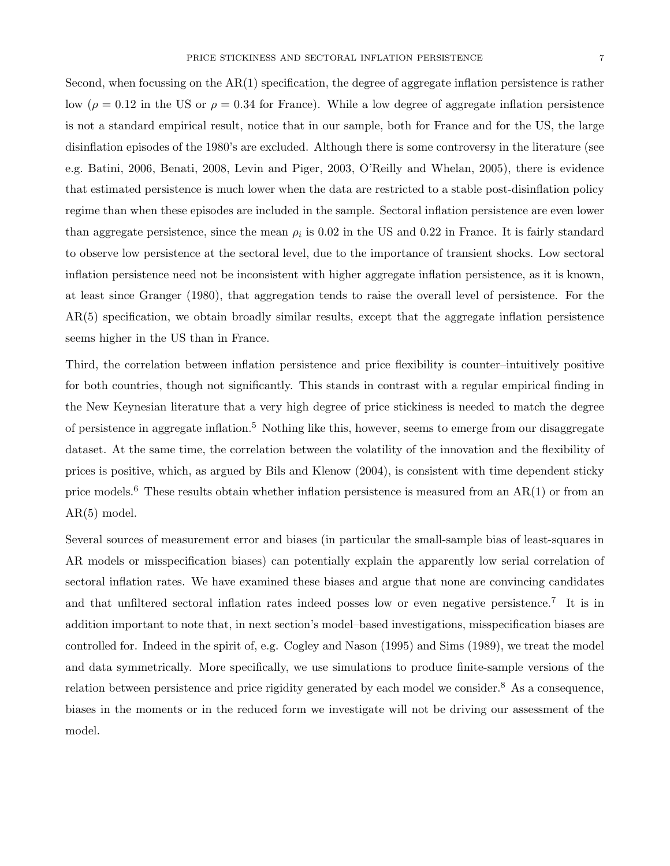Second, when focussing on the  $AR(1)$  specification, the degree of aggregate inflation persistence is rather low ( $\rho = 0.12$  in the US or  $\rho = 0.34$  for France). While a low degree of aggregate inflation persistence is not a standard empirical result, notice that in our sample, both for France and for the US, the large disinflation episodes of the 1980's are excluded. Although there is some controversy in the literature (see e.g. Batini, 2006, Benati, 2008, Levin and Piger, 2003, O'Reilly and Whelan, 2005), there is evidence that estimated persistence is much lower when the data are restricted to a stable post-disinflation policy regime than when these episodes are included in the sample. Sectoral inflation persistence are even lower than aggregate persistence, since the mean  $\rho_i$  is 0.02 in the US and 0.22 in France. It is fairly standard to observe low persistence at the sectoral level, due to the importance of transient shocks. Low sectoral inflation persistence need not be inconsistent with higher aggregate inflation persistence, as it is known, at least since Granger (1980), that aggregation tends to raise the overall level of persistence. For the AR(5) specification, we obtain broadly similar results, except that the aggregate inflation persistence seems higher in the US than in France.

Third, the correlation between inflation persistence and price flexibility is counter–intuitively positive for both countries, though not significantly. This stands in contrast with a regular empirical finding in the New Keynesian literature that a very high degree of price stickiness is needed to match the degree of persistence in aggregate inflation.<sup>5</sup> Nothing like this, however, seems to emerge from our disaggregate dataset. At the same time, the correlation between the volatility of the innovation and the flexibility of prices is positive, which, as argued by Bils and Klenow (2004), is consistent with time dependent sticky price models.<sup>6</sup> These results obtain whether inflation persistence is measured from an AR(1) or from an AR(5) model.

Several sources of measurement error and biases (in particular the small-sample bias of least-squares in AR models or misspecification biases) can potentially explain the apparently low serial correlation of sectoral inflation rates. We have examined these biases and argue that none are convincing candidates and that unfiltered sectoral inflation rates indeed posses low or even negative persistence.<sup>7</sup> It is in addition important to note that, in next section's model–based investigations, misspecification biases are controlled for. Indeed in the spirit of, e.g. Cogley and Nason (1995) and Sims (1989), we treat the model and data symmetrically. More specifically, we use simulations to produce finite-sample versions of the relation between persistence and price rigidity generated by each model we consider.<sup>8</sup> As a consequence, biases in the moments or in the reduced form we investigate will not be driving our assessment of the model.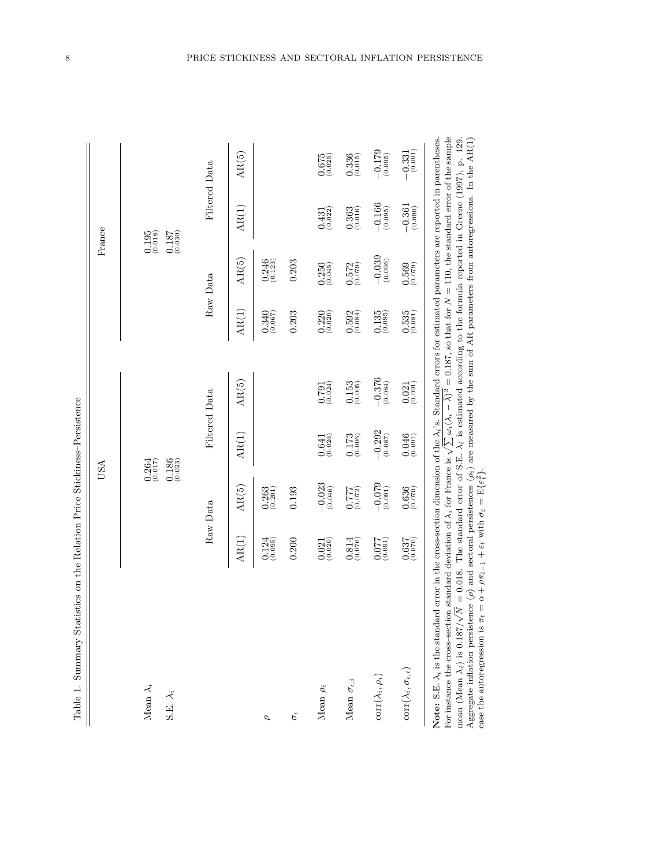| $\ddot{\phantom{a}}$    |
|-------------------------|
| i<br>֚֘                 |
| د<br>د                  |
| i Grra<br>$\frac{1}{2}$ |
| á<br>I<br>:             |
| J                       |
| ֕                       |
| $\mathbf{S}$            |

| Table 1. Summary Statistics on the Relation Price Stickiness-Persistence                                                                                                |                      |                                                 |                                                           |                     |                                        |                       |                                                                 |                                                           |
|-------------------------------------------------------------------------------------------------------------------------------------------------------------------------|----------------------|-------------------------------------------------|-----------------------------------------------------------|---------------------|----------------------------------------|-----------------------|-----------------------------------------------------------------|-----------------------------------------------------------|
|                                                                                                                                                                         |                      |                                                 | USA                                                       |                     |                                        |                       | France                                                          |                                                           |
| Mean $\lambda_i$<br>S.E. $\lambda_i$                                                                                                                                    |                      |                                                 | $_{(0.017)}^{0.264}$<br>$0.186$<br>$(0.023)$              |                     |                                        |                       | (0.195)<br>$\underset{\left(0.030\right)}{0.187}$               |                                                           |
|                                                                                                                                                                         |                      | Raw Data                                        |                                                           | Filtered Data       |                                        | Raw Data              | Filtered Data                                                   |                                                           |
|                                                                                                                                                                         | AR(1)                | AR(5)                                           | AR(1)                                                     | AR(5)               | AR(1)                                  | AR(5)                 | AR(1)                                                           | AR(5)                                                     |
| ρ                                                                                                                                                                       | (0.124)              | $0.263$<br>$(0.201)$                            |                                                           |                     | $0.340$<br>$(0.067)$                   | $0.246$<br>$(0.123)$  |                                                                 |                                                           |
| $\sigma_{\rm e}$                                                                                                                                                        | 0.200                | 0.193                                           |                                                           |                     | 0.203                                  | 0.203                 |                                                                 |                                                           |
| Mean $\rho_i$                                                                                                                                                           | $0.021$<br>$(0.020)$ | $-0.023\atop \left(0.046\right)$                | $\underset{\left(0.026\right)}{0.641}$                    | (0.791)             | $0.220$<br>$(0.020)$                   | $0.250$<br>$(0.045)$  | $0.431$<br>$(0.022)$                                            | $\underset{\left(0.025\right)}{0.675}$                    |
| Mean $\sigma_{\epsilon,i}$                                                                                                                                              | $0.814$<br>$(0.076)$ | (210.077)                                       | $0.173$<br>$(0.006)$                                      | (0.153)             | $0.592$<br>$(0.084)$                   | $0.572$<br>$(0.079)$  | $0.363$<br>$(0.016)$                                            | $0.336$<br>$(0.015)$                                      |
| $\text{corr}(\lambda_i, \rho_i)$                                                                                                                                        | (160.0)              | $\begin{array}{c} -0.079 \\ 0.091) \end{array}$ | $\begin{array}{c} -0.292 \\ \textbf{(0.087)} \end{array}$ | $-0.376$<br>(0.084) | (0.135)                                | $-0.039$<br>$(0.096)$ | $\begin{array}{c} -0.166 \\ \text{\small{(0.095)}} \end{array}$ | $\begin{array}{c} -0.179 \\ \textbf{(0.095)} \end{array}$ |
| $\mathrm{corr}(\lambda_i,\sigma_{\epsilon,i})$                                                                                                                          | $0.637$<br>$(0.070)$ | $0.636$<br>$(0.070)$                            | $0.046$<br>(0.091)                                        | (0.021)             | $\left(0.535\right)\left(0.081\right)$ | (6.569)               | $\begin{array}{c} -0.361 \\ \text{\small (0.090)} \end{array}$  | $-\underset{\left(0.091\right)}{0.331}$                   |
| Note: S.E. $\lambda_i$ is the standard error in the cross-section dimension of the $\lambda_i$ 's. Standard errors for estimated parameters are reported in parentheses |                      |                                                 |                                                           |                     |                                        |                       |                                                                 |                                                           |

Note: S.E.  $\lambda_i$  is the standard error in the cross-section dimension of the  $\lambda_i$ 's. Standard errors for estimated parameters are reported in parentheses. For instance the cross–section standard deviation of  $\lambda_i$  for France is  $\gt$  $\boxtimes$  $\omega_i(\lambda_i-\bar{\lambda})^2$  $^2 = 0.187$ , so that for N $N = 110$ , the standard error of the sample mean (Mean  $\lambda_i$ ) is 0.187/ √  $\sqrt{N}$  =<br> $\frac{1}{\pi}$ <br> $\alpha$  $N = 0.018$ . The standard error of S.E.  $\lambda_i$  is estimated according to the formula reported in Greene (1997), p. 129.<br> $\cdots$ Aggregate inflation persistence  $(\rho)$  and sectoral persistences  $(\rho_i)$  are measured by the sum of AR parameters from autoregressions. In the AR(1) case the autoregression is + $+\rho\pi_{t-1} + \varepsilon_t$  with  $\sigma_{\varepsilon} = \mathbb{E}\{\varepsilon$  $\sum_{2i+1}^{n}$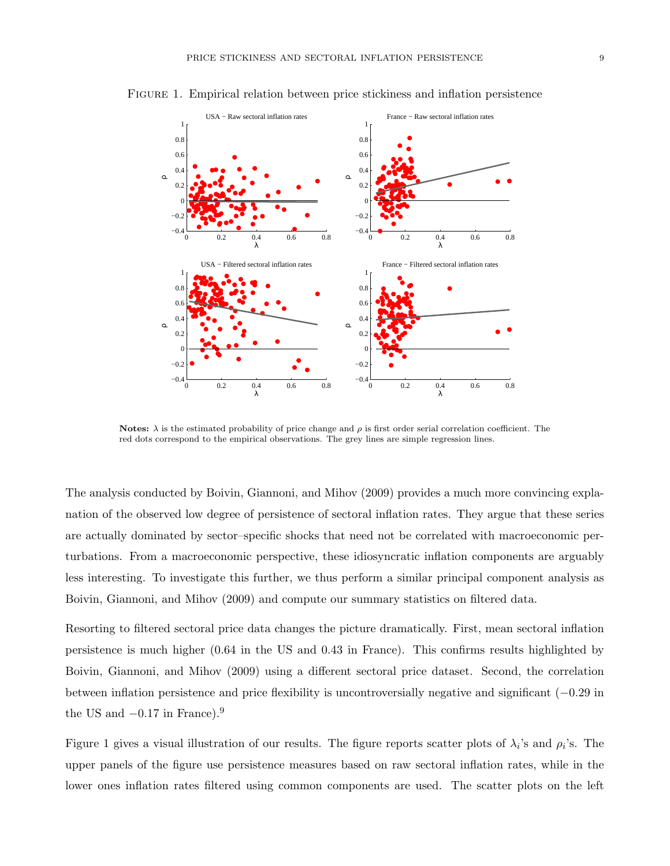

Figure 1. Empirical relation between price stickiness and inflation persistence

Notes:  $\lambda$  is the estimated probability of price change and  $\rho$  is first order serial correlation coefficient. The red dots correspond to the empirical observations. The grey lines are simple regression lines.

The analysis conducted by Boivin, Giannoni, and Mihov (2009) provides a much more convincing explanation of the observed low degree of persistence of sectoral inflation rates. They argue that these series are actually dominated by sector–specific shocks that need not be correlated with macroeconomic perturbations. From a macroeconomic perspective, these idiosyncratic inflation components are arguably less interesting. To investigate this further, we thus perform a similar principal component analysis as Boivin, Giannoni, and Mihov (2009) and compute our summary statistics on filtered data.

Resorting to filtered sectoral price data changes the picture dramatically. First, mean sectoral inflation persistence is much higher (0.64 in the US and 0.43 in France). This confirms results highlighted by Boivin, Giannoni, and Mihov (2009) using a different sectoral price dataset. Second, the correlation between inflation persistence and price flexibility is uncontroversially negative and significant (−0.29 in the US and  $-0.17$  in France).<sup>9</sup>

Figure 1 gives a visual illustration of our results. The figure reports scatter plots of  $\lambda_i$ 's and  $\rho_i$ 's. The upper panels of the figure use persistence measures based on raw sectoral inflation rates, while in the lower ones inflation rates filtered using common components are used. The scatter plots on the left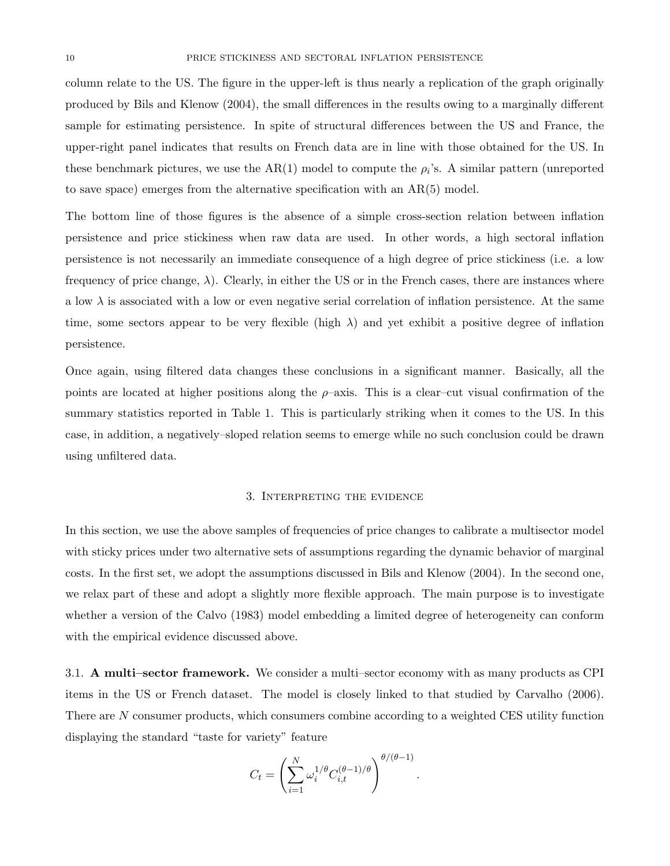column relate to the US. The figure in the upper-left is thus nearly a replication of the graph originally produced by Bils and Klenow (2004), the small differences in the results owing to a marginally different sample for estimating persistence. In spite of structural differences between the US and France, the upper-right panel indicates that results on French data are in line with those obtained for the US. In these benchmark pictures, we use the  $AR(1)$  model to compute the  $\rho_i$ 's. A similar pattern (unreported to save space) emerges from the alternative specification with an AR(5) model.

The bottom line of those figures is the absence of a simple cross-section relation between inflation persistence and price stickiness when raw data are used. In other words, a high sectoral inflation persistence is not necessarily an immediate consequence of a high degree of price stickiness (i.e. a low frequency of price change,  $\lambda$ ). Clearly, in either the US or in the French cases, there are instances where a low  $\lambda$  is associated with a low or even negative serial correlation of inflation persistence. At the same time, some sectors appear to be very flexible (high  $\lambda$ ) and yet exhibit a positive degree of inflation persistence.

Once again, using filtered data changes these conclusions in a significant manner. Basically, all the points are located at higher positions along the  $\rho$ -axis. This is a clear-cut visual confirmation of the summary statistics reported in Table 1. This is particularly striking when it comes to the US. In this case, in addition, a negatively–sloped relation seems to emerge while no such conclusion could be drawn using unfiltered data.

#### 3. Interpreting the evidence

In this section, we use the above samples of frequencies of price changes to calibrate a multisector model with sticky prices under two alternative sets of assumptions regarding the dynamic behavior of marginal costs. In the first set, we adopt the assumptions discussed in Bils and Klenow (2004). In the second one, we relax part of these and adopt a slightly more flexible approach. The main purpose is to investigate whether a version of the Calvo (1983) model embedding a limited degree of heterogeneity can conform with the empirical evidence discussed above.

3.1. A multi–sector framework. We consider a multi–sector economy with as many products as CPI items in the US or French dataset. The model is closely linked to that studied by Carvalho (2006). There are N consumer products, which consumers combine according to a weighted CES utility function displaying the standard "taste for variety" feature

$$
C_t = \left(\sum_{i=1}^N \omega_i^{1/\theta} C_{i,t}^{(\theta-1)/\theta}\right)^{\theta/(\theta-1)}.
$$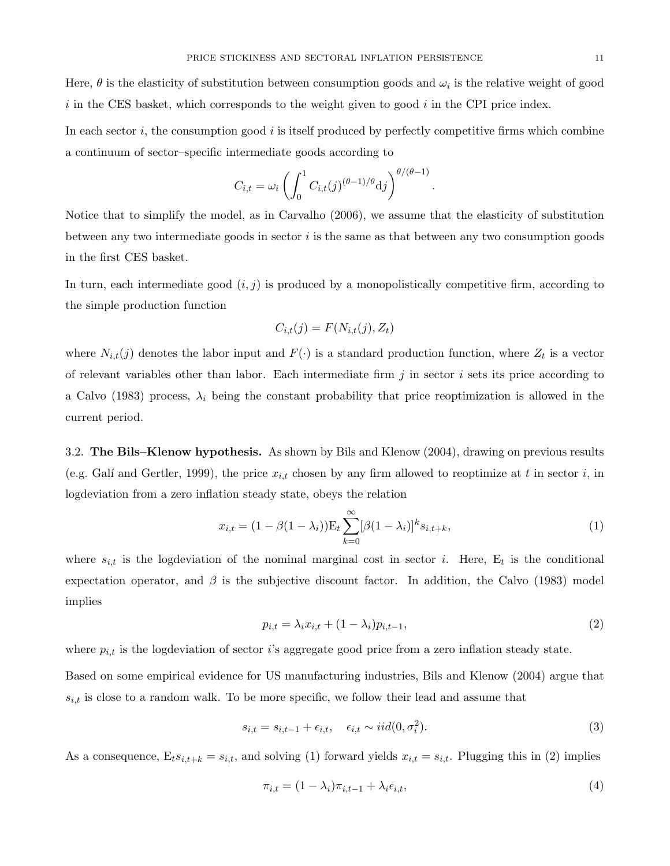Here,  $\theta$  is the elasticity of substitution between consumption goods and  $\omega_i$  is the relative weight of good  $i$  in the CES basket, which corresponds to the weight given to good  $i$  in the CPI price index.

In each sector  $i$ , the consumption good  $i$  is itself produced by perfectly competitive firms which combine a continuum of sector–specific intermediate goods according to

$$
C_{i,t} = \omega_i \left( \int_0^1 C_{i,t}(j)^{(\theta - 1)/\theta} \mathrm{d}j \right)^{\theta/(\theta - 1)}
$$

Notice that to simplify the model, as in Carvalho (2006), we assume that the elasticity of substitution between any two intermediate goods in sector  $i$  is the same as that between any two consumption goods in the first CES basket.

In turn, each intermediate good  $(i, j)$  is produced by a monopolistically competitive firm, according to the simple production function

$$
C_{i,t}(j) = F(N_{i,t}(j), Z_t)
$$

where  $N_{i,t}(j)$  denotes the labor input and  $F(\cdot)$  is a standard production function, where  $Z_t$  is a vector of relevant variables other than labor. Each intermediate firm  $j$  in sector  $i$  sets its price according to a Calvo (1983) process,  $\lambda_i$  being the constant probability that price reoptimization is allowed in the current period.

3.2. The Bils–Klenow hypothesis. As shown by Bils and Klenow (2004), drawing on previous results (e.g. Galí and Gertler, 1999), the price  $x_{i,t}$  chosen by any firm allowed to reoptimize at t in sector i, in logdeviation from a zero inflation steady state, obeys the relation

$$
x_{i,t} = (1 - \beta(1 - \lambda_i)) \mathcal{E}_t \sum_{k=0}^{\infty} [\beta(1 - \lambda_i)]^k s_{i,t+k},
$$
\n(1)

where  $s_{i,t}$  is the logdeviation of the nominal marginal cost in sector i. Here,  $E_t$  is the conditional expectation operator, and  $\beta$  is the subjective discount factor. In addition, the Calvo (1983) model implies

$$
p_{i,t} = \lambda_i x_{i,t} + (1 - \lambda_i) p_{i,t-1}, \qquad (2)
$$

.

where  $p_{i,t}$  is the logdeviation of sector i's aggregate good price from a zero inflation steady state.

Based on some empirical evidence for US manufacturing industries, Bils and Klenow (2004) argue that  $s_{i,t}$  is close to a random walk. To be more specific, we follow their lead and assume that

$$
s_{i,t} = s_{i,t-1} + \epsilon_{i,t}, \quad \epsilon_{i,t} \sim iid(0, \sigma_i^2). \tag{3}
$$

As a consequence,  $E_ts_{i,t+k} = s_{i,t}$ , and solving (1) forward yields  $x_{i,t} = s_{i,t}$ . Plugging this in (2) implies

$$
\pi_{i,t} = (1 - \lambda_i)\pi_{i,t-1} + \lambda_i \epsilon_{i,t},\tag{4}
$$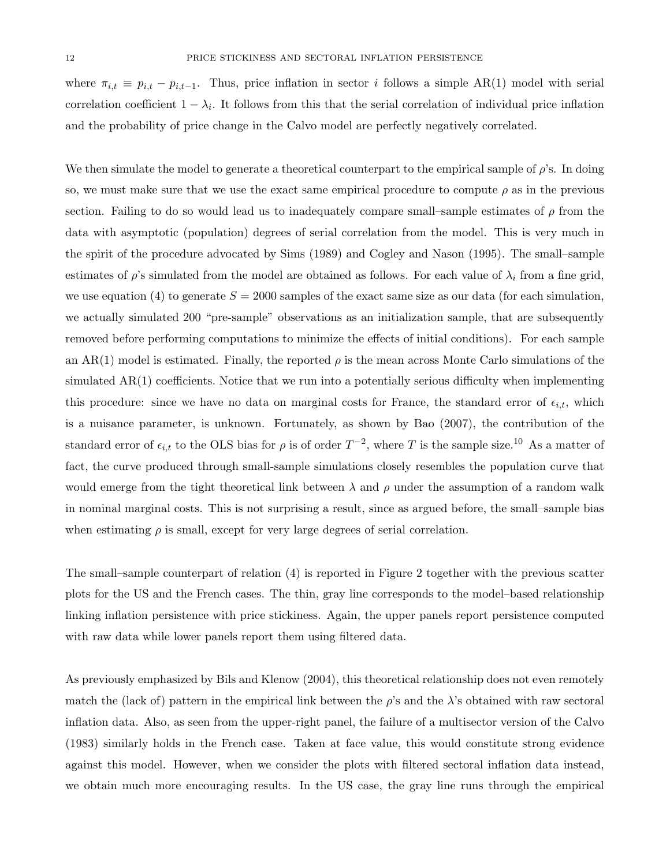where  $\pi_{i,t} \equiv p_{i,t} - p_{i,t-1}$ . Thus, price inflation in sector i follows a simple AR(1) model with serial correlation coefficient  $1 - \lambda_i$ . It follows from this that the serial correlation of individual price inflation and the probability of price change in the Calvo model are perfectly negatively correlated.

We then simulate the model to generate a theoretical counterpart to the empirical sample of  $\rho$ 's. In doing so, we must make sure that we use the exact same empirical procedure to compute  $\rho$  as in the previous section. Failing to do so would lead us to inadequately compare small–sample estimates of  $\rho$  from the data with asymptotic (population) degrees of serial correlation from the model. This is very much in the spirit of the procedure advocated by Sims (1989) and Cogley and Nason (1995). The small–sample estimates of  $\rho$ 's simulated from the model are obtained as follows. For each value of  $\lambda_i$  from a fine grid, we use equation (4) to generate  $S = 2000$  samples of the exact same size as our data (for each simulation, we actually simulated 200 "pre-sample" observations as an initialization sample, that are subsequently removed before performing computations to minimize the effects of initial conditions). For each sample an AR(1) model is estimated. Finally, the reported  $\rho$  is the mean across Monte Carlo simulations of the simulated AR(1) coefficients. Notice that we run into a potentially serious difficulty when implementing this procedure: since we have no data on marginal costs for France, the standard error of  $\epsilon_{i,t}$ , which is a nuisance parameter, is unknown. Fortunately, as shown by Bao (2007), the contribution of the standard error of  $\epsilon_{i,t}$  to the OLS bias for  $\rho$  is of order  $T^{-2}$ , where T is the sample size.<sup>10</sup> As a matter of fact, the curve produced through small-sample simulations closely resembles the population curve that would emerge from the tight theoretical link between  $\lambda$  and  $\rho$  under the assumption of a random walk in nominal marginal costs. This is not surprising a result, since as argued before, the small–sample bias when estimating  $\rho$  is small, except for very large degrees of serial correlation.

The small–sample counterpart of relation (4) is reported in Figure 2 together with the previous scatter plots for the US and the French cases. The thin, gray line corresponds to the model–based relationship linking inflation persistence with price stickiness. Again, the upper panels report persistence computed with raw data while lower panels report them using filtered data.

As previously emphasized by Bils and Klenow (2004), this theoretical relationship does not even remotely match the (lack of) pattern in the empirical link between the  $\rho$ 's and the  $\lambda$ 's obtained with raw sectoral inflation data. Also, as seen from the upper-right panel, the failure of a multisector version of the Calvo (1983) similarly holds in the French case. Taken at face value, this would constitute strong evidence against this model. However, when we consider the plots with filtered sectoral inflation data instead, we obtain much more encouraging results. In the US case, the gray line runs through the empirical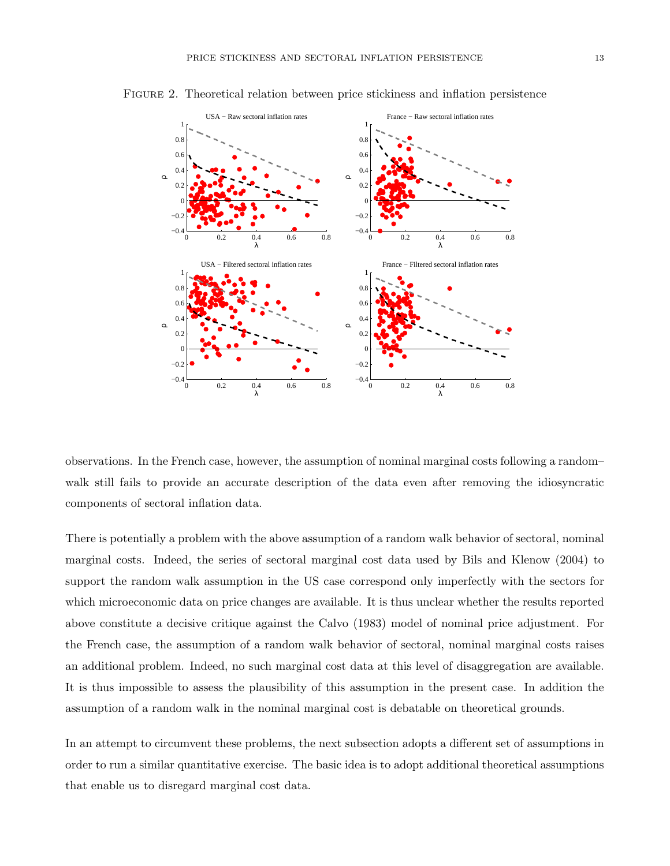

Figure 2. Theoretical relation between price stickiness and inflation persistence

observations. In the French case, however, the assumption of nominal marginal costs following a random– walk still fails to provide an accurate description of the data even after removing the idiosyncratic components of sectoral inflation data.

There is potentially a problem with the above assumption of a random walk behavior of sectoral, nominal marginal costs. Indeed, the series of sectoral marginal cost data used by Bils and Klenow (2004) to support the random walk assumption in the US case correspond only imperfectly with the sectors for which microeconomic data on price changes are available. It is thus unclear whether the results reported above constitute a decisive critique against the Calvo (1983) model of nominal price adjustment. For the French case, the assumption of a random walk behavior of sectoral, nominal marginal costs raises an additional problem. Indeed, no such marginal cost data at this level of disaggregation are available. It is thus impossible to assess the plausibility of this assumption in the present case. In addition the assumption of a random walk in the nominal marginal cost is debatable on theoretical grounds.

In an attempt to circumvent these problems, the next subsection adopts a different set of assumptions in order to run a similar quantitative exercise. The basic idea is to adopt additional theoretical assumptions that enable us to disregard marginal cost data.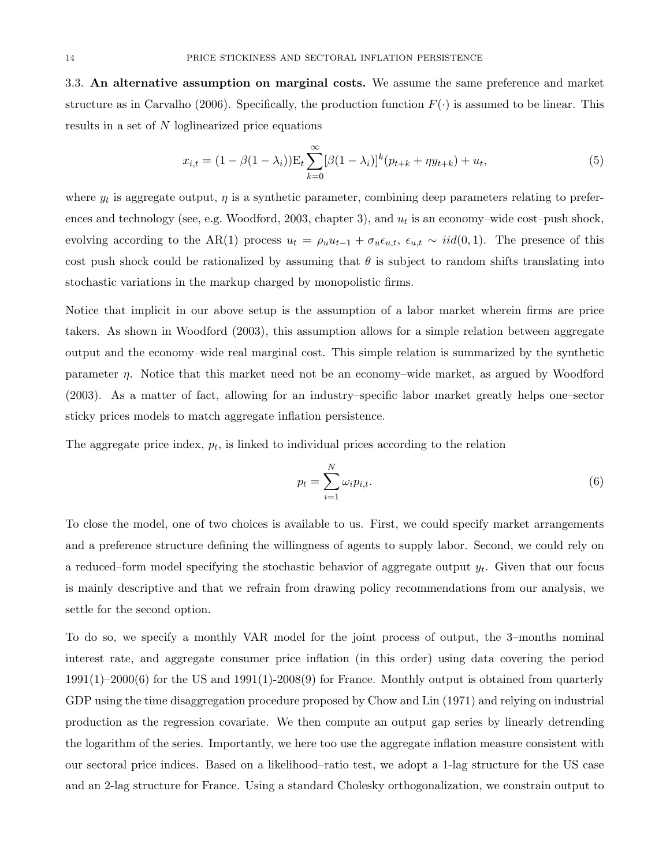3.3. An alternative assumption on marginal costs. We assume the same preference and market structure as in Carvalho (2006). Specifically, the production function  $F(\cdot)$  is assumed to be linear. This results in a set of N loglinearized price equations

$$
x_{i,t} = (1 - \beta(1 - \lambda_i)) \mathcal{E}_t \sum_{k=0}^{\infty} [\beta(1 - \lambda_i)]^k (p_{t+k} + \eta y_{t+k}) + u_t,
$$
\n(5)

where  $y_t$  is aggregate output,  $\eta$  is a synthetic parameter, combining deep parameters relating to preferences and technology (see, e.g. Woodford, 2003, chapter 3), and  $u_t$  is an economy-wide cost-push shock, evolving according to the AR(1) process  $u_t = \rho_u u_{t-1} + \sigma_u \epsilon_{u,t}$ ,  $\epsilon_{u,t} \sim \text{iid}(0, 1)$ . The presence of this cost push shock could be rationalized by assuming that  $\theta$  is subject to random shifts translating into stochastic variations in the markup charged by monopolistic firms.

Notice that implicit in our above setup is the assumption of a labor market wherein firms are price takers. As shown in Woodford (2003), this assumption allows for a simple relation between aggregate output and the economy–wide real marginal cost. This simple relation is summarized by the synthetic parameter  $\eta$ . Notice that this market need not be an economy–wide market, as argued by Woodford (2003). As a matter of fact, allowing for an industry–specific labor market greatly helps one–sector sticky prices models to match aggregate inflation persistence.

The aggregate price index,  $p_t$ , is linked to individual prices according to the relation

$$
p_t = \sum_{i=1}^{N} \omega_i p_{i,t}.
$$
\n
$$
(6)
$$

To close the model, one of two choices is available to us. First, we could specify market arrangements and a preference structure defining the willingness of agents to supply labor. Second, we could rely on a reduced–form model specifying the stochastic behavior of aggregate output  $y_t$ . Given that our focus is mainly descriptive and that we refrain from drawing policy recommendations from our analysis, we settle for the second option.

To do so, we specify a monthly VAR model for the joint process of output, the 3–months nominal interest rate, and aggregate consumer price inflation (in this order) using data covering the period  $1991(1)-2000(6)$  for the US and  $1991(1)-2008(9)$  for France. Monthly output is obtained from quarterly GDP using the time disaggregation procedure proposed by Chow and Lin (1971) and relying on industrial production as the regression covariate. We then compute an output gap series by linearly detrending the logarithm of the series. Importantly, we here too use the aggregate inflation measure consistent with our sectoral price indices. Based on a likelihood–ratio test, we adopt a 1-lag structure for the US case and an 2-lag structure for France. Using a standard Cholesky orthogonalization, we constrain output to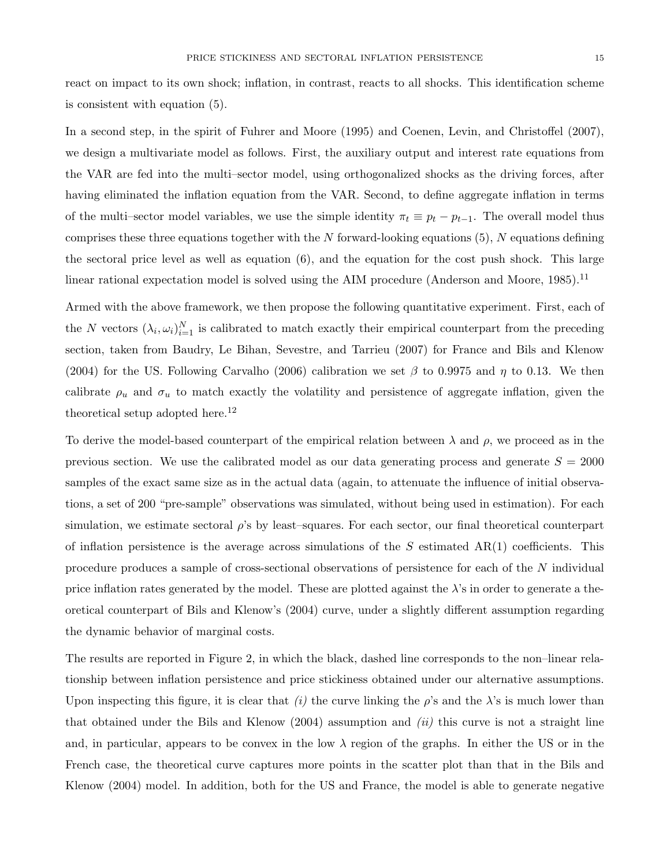react on impact to its own shock; inflation, in contrast, reacts to all shocks. This identification scheme is consistent with equation (5).

In a second step, in the spirit of Fuhrer and Moore (1995) and Coenen, Levin, and Christoffel (2007), we design a multivariate model as follows. First, the auxiliary output and interest rate equations from the VAR are fed into the multi–sector model, using orthogonalized shocks as the driving forces, after having eliminated the inflation equation from the VAR. Second, to define aggregate inflation in terms of the multi–sector model variables, we use the simple identity  $\pi_t \equiv p_t - p_{t-1}$ . The overall model thus comprises these three equations together with the  $N$  forward-looking equations (5),  $N$  equations defining the sectoral price level as well as equation (6), and the equation for the cost push shock. This large linear rational expectation model is solved using the AIM procedure (Anderson and Moore,  $1985$ ).<sup>11</sup>

Armed with the above framework, we then propose the following quantitative experiment. First, each of the N vectors  $(\lambda_i, \omega_i)_{i=1}^N$  is calibrated to match exactly their empirical counterpart from the preceding section, taken from Baudry, Le Bihan, Sevestre, and Tarrieu (2007) for France and Bils and Klenow (2004) for the US. Following Carvalho (2006) calibration we set  $\beta$  to 0.9975 and  $\eta$  to 0.13. We then calibrate  $\rho_u$  and  $\sigma_u$  to match exactly the volatility and persistence of aggregate inflation, given the theoretical setup adopted here.<sup>12</sup>

To derive the model-based counterpart of the empirical relation between  $\lambda$  and  $\rho$ , we proceed as in the previous section. We use the calibrated model as our data generating process and generate  $S = 2000$ samples of the exact same size as in the actual data (again, to attenuate the influence of initial observations, a set of 200 "pre-sample" observations was simulated, without being used in estimation). For each simulation, we estimate sectoral  $\rho$ 's by least–squares. For each sector, our final theoretical counterpart of inflation persistence is the average across simulations of the  $S$  estimated  $AR(1)$  coefficients. This procedure produces a sample of cross-sectional observations of persistence for each of the N individual price inflation rates generated by the model. These are plotted against the  $\lambda$ 's in order to generate a theoretical counterpart of Bils and Klenow's (2004) curve, under a slightly different assumption regarding the dynamic behavior of marginal costs.

The results are reported in Figure 2, in which the black, dashed line corresponds to the non–linear relationship between inflation persistence and price stickiness obtained under our alternative assumptions. Upon inspecting this figure, it is clear that (i) the curve linking the  $\rho$ 's and the  $\lambda$ 's is much lower than that obtained under the Bils and Klenow  $(2004)$  assumption and  $(ii)$  this curve is not a straight line and, in particular, appears to be convex in the low  $\lambda$  region of the graphs. In either the US or in the French case, the theoretical curve captures more points in the scatter plot than that in the Bils and Klenow (2004) model. In addition, both for the US and France, the model is able to generate negative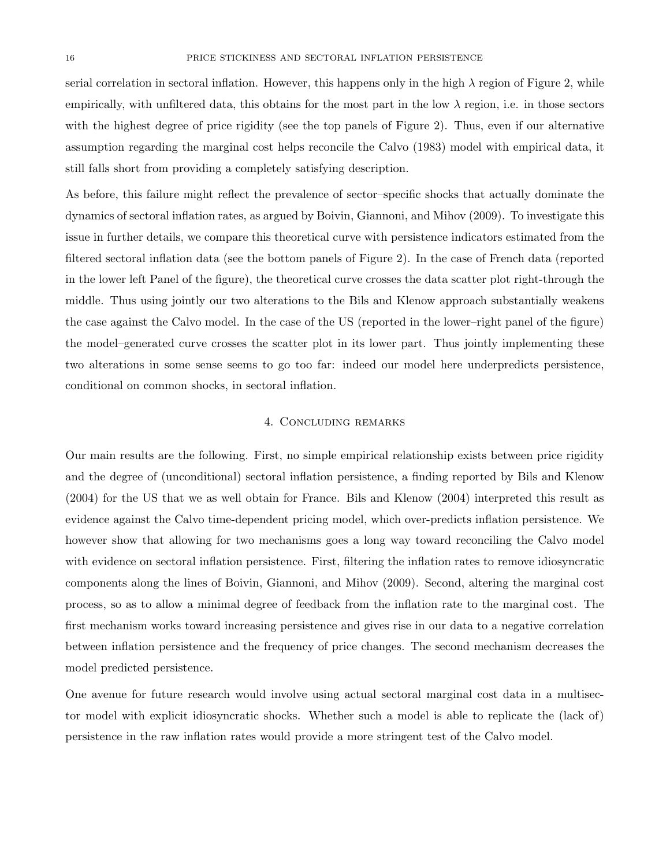serial correlation in sectoral inflation. However, this happens only in the high  $\lambda$  region of Figure 2, while empirically, with unfiltered data, this obtains for the most part in the low  $\lambda$  region, i.e. in those sectors with the highest degree of price rigidity (see the top panels of Figure 2). Thus, even if our alternative assumption regarding the marginal cost helps reconcile the Calvo (1983) model with empirical data, it still falls short from providing a completely satisfying description.

As before, this failure might reflect the prevalence of sector–specific shocks that actually dominate the dynamics of sectoral inflation rates, as argued by Boivin, Giannoni, and Mihov (2009). To investigate this issue in further details, we compare this theoretical curve with persistence indicators estimated from the filtered sectoral inflation data (see the bottom panels of Figure 2). In the case of French data (reported in the lower left Panel of the figure), the theoretical curve crosses the data scatter plot right-through the middle. Thus using jointly our two alterations to the Bils and Klenow approach substantially weakens the case against the Calvo model. In the case of the US (reported in the lower–right panel of the figure) the model–generated curve crosses the scatter plot in its lower part. Thus jointly implementing these two alterations in some sense seems to go too far: indeed our model here underpredicts persistence, conditional on common shocks, in sectoral inflation.

#### 4. Concluding remarks

Our main results are the following. First, no simple empirical relationship exists between price rigidity and the degree of (unconditional) sectoral inflation persistence, a finding reported by Bils and Klenow (2004) for the US that we as well obtain for France. Bils and Klenow (2004) interpreted this result as evidence against the Calvo time-dependent pricing model, which over-predicts inflation persistence. We however show that allowing for two mechanisms goes a long way toward reconciling the Calvo model with evidence on sectoral inflation persistence. First, filtering the inflation rates to remove idiosyncratic components along the lines of Boivin, Giannoni, and Mihov (2009). Second, altering the marginal cost process, so as to allow a minimal degree of feedback from the inflation rate to the marginal cost. The first mechanism works toward increasing persistence and gives rise in our data to a negative correlation between inflation persistence and the frequency of price changes. The second mechanism decreases the model predicted persistence.

One avenue for future research would involve using actual sectoral marginal cost data in a multisector model with explicit idiosyncratic shocks. Whether such a model is able to replicate the (lack of) persistence in the raw inflation rates would provide a more stringent test of the Calvo model.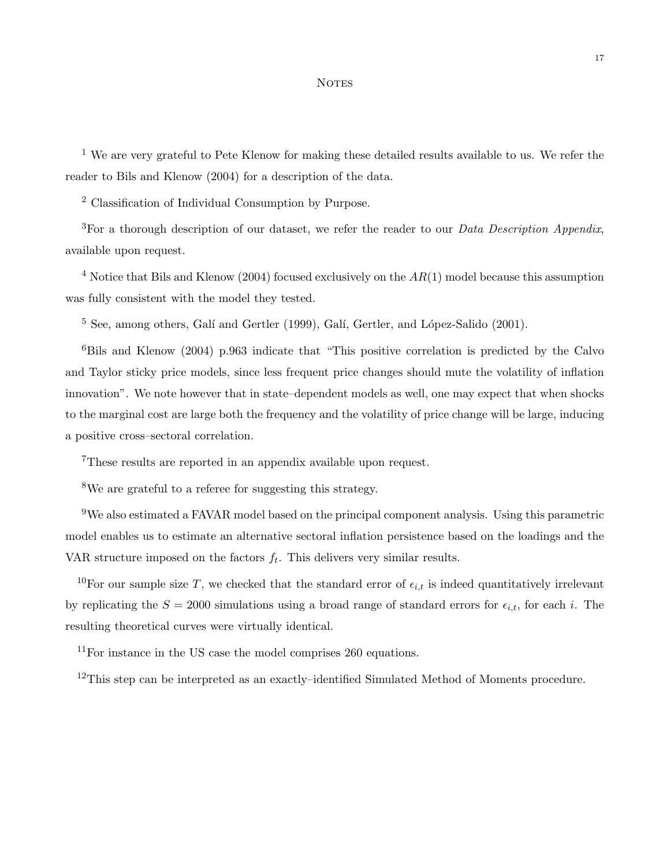#### **NOTES**

<sup>1</sup> We are very grateful to Pete Klenow for making these detailed results available to us. We refer the reader to Bils and Klenow (2004) for a description of the data.

<sup>2</sup> Classification of Individual Consumption by Purpose.

<sup>3</sup>For a thorough description of our dataset, we refer the reader to our *Data Description Appendix*, available upon request.

 $4$  Notice that Bils and Klenow (2004) focused exclusively on the  $AR(1)$  model because this assumption was fully consistent with the model they tested.

 $5$  See, among others, Galí and Gertler (1999), Galí, Gertler, and López-Salido (2001).

 ${}^{6}$ Bils and Klenow (2004) p.963 indicate that "This positive correlation is predicted by the Calvo and Taylor sticky price models, since less frequent price changes should mute the volatility of inflation innovation". We note however that in state–dependent models as well, one may expect that when shocks to the marginal cost are large both the frequency and the volatility of price change will be large, inducing a positive cross–sectoral correlation.

<sup>7</sup>These results are reported in an appendix available upon request.

<sup>8</sup>We are grateful to a referee for suggesting this strategy.

 $9$ We also estimated a FAVAR model based on the principal component analysis. Using this parametric model enables us to estimate an alternative sectoral inflation persistence based on the loadings and the VAR structure imposed on the factors  $f_t$ . This delivers very similar results.

<sup>10</sup>For our sample size T, we checked that the standard error of  $\epsilon_{i,t}$  is indeed quantitatively irrelevant by replicating the  $S = 2000$  simulations using a broad range of standard errors for  $\epsilon_{i,t}$ , for each i. The resulting theoretical curves were virtually identical.

<sup>11</sup>For instance in the US case the model comprises 260 equations.

 $12$ This step can be interpreted as an exactly–identified Simulated Method of Moments procedure.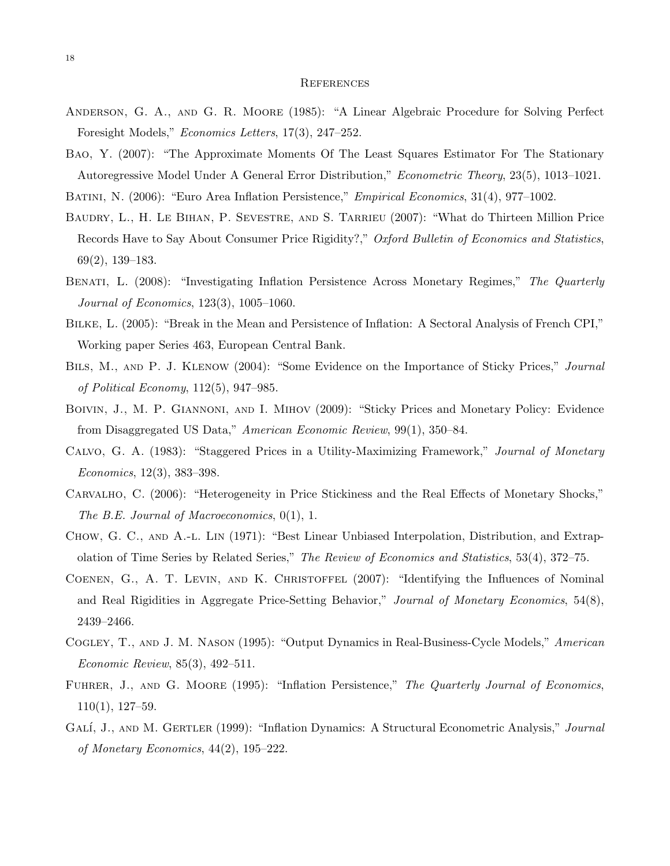#### **REFERENCES**

- Anderson, G. A., and G. R. Moore (1985): "A Linear Algebraic Procedure for Solving Perfect Foresight Models," Economics Letters, 17(3), 247–252.
- Bao, Y. (2007): "The Approximate Moments Of The Least Squares Estimator For The Stationary Autoregressive Model Under A General Error Distribution," Econometric Theory, 23(5), 1013–1021.

BATINI, N. (2006): "Euro Area Inflation Persistence," Empirical Economics, 31(4), 977-1002.

- BAUDRY, L., H. LE BIHAN, P. SEVESTRE, AND S. TARRIEU (2007): "What do Thirteen Million Price Records Have to Say About Consumer Price Rigidity?," Oxford Bulletin of Economics and Statistics, 69(2), 139–183.
- BENATI, L. (2008): "Investigating Inflation Persistence Across Monetary Regimes," The Quarterly Journal of Economics, 123(3), 1005–1060.
- Bilke, L. (2005): "Break in the Mean and Persistence of Inflation: A Sectoral Analysis of French CPI," Working paper Series 463, European Central Bank.
- BILS, M., AND P. J. KLENOW (2004): "Some Evidence on the Importance of Sticky Prices," Journal of Political Economy, 112(5), 947–985.
- BOIVIN, J., M. P. GIANNONI, AND I. MIHOV (2009): "Sticky Prices and Monetary Policy: Evidence from Disaggregated US Data," American Economic Review, 99(1), 350–84.
- Calvo, G. A. (1983): "Staggered Prices in a Utility-Maximizing Framework," Journal of Monetary Economics, 12(3), 383–398.
- Carvalho, C. (2006): "Heterogeneity in Price Stickiness and the Real Effects of Monetary Shocks," The B.E. Journal of Macroeconomics, 0(1), 1.
- Chow, G. C., and A.-l. Lin (1971): "Best Linear Unbiased Interpolation, Distribution, and Extrapolation of Time Series by Related Series," The Review of Economics and Statistics, 53(4), 372–75.
- Coenen, G., A. T. Levin, and K. Christoffel (2007): "Identifying the Influences of Nominal and Real Rigidities in Aggregate Price-Setting Behavior," Journal of Monetary Economics, 54(8), 2439–2466.
- Cogley, T., and J. M. Nason (1995): "Output Dynamics in Real-Business-Cycle Models," American Economic Review, 85(3), 492–511.
- FUHRER, J., AND G. MOORE (1995): "Inflation Persistence," The Quarterly Journal of Economics, 110(1), 127–59.
- GALÍ, J., AND M. GERTLER (1999): "Inflation Dynamics: A Structural Econometric Analysis," Journal of Monetary Economics, 44(2), 195–222.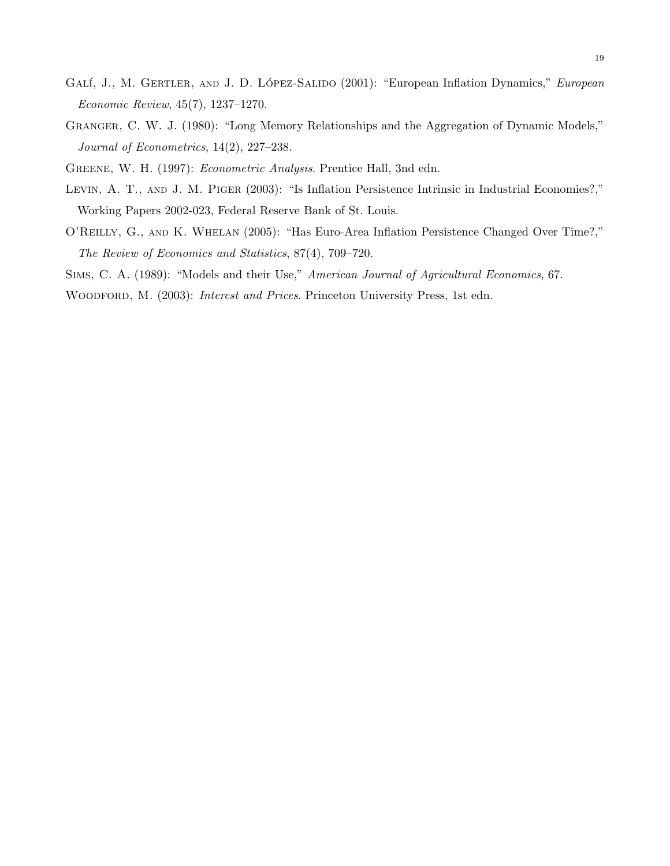- GALÍ, J., M. GERTLER, AND J. D. LÓPEZ-SALIDO (2001): "European Inflation Dynamics," European Economic Review, 45(7), 1237–1270.
- Granger, C. W. J. (1980): "Long Memory Relationships and the Aggregation of Dynamic Models," Journal of Econometrics, 14(2), 227–238.

Greene, W. H. (1997): Econometric Analysis. Prentice Hall, 3nd edn.

- LEVIN, A. T., AND J. M. PIGER (2003): "Is Inflation Persistence Intrinsic in Industrial Economies?," Working Papers 2002-023, Federal Reserve Bank of St. Louis.
- O'Reilly, G., and K. Whelan (2005): "Has Euro-Area Inflation Persistence Changed Over Time?," The Review of Economics and Statistics, 87(4), 709–720.

Sims, C. A. (1989): "Models and their Use," American Journal of Agricultural Economics, 67.

WOODFORD, M. (2003): *Interest and Prices*. Princeton University Press, 1st edn.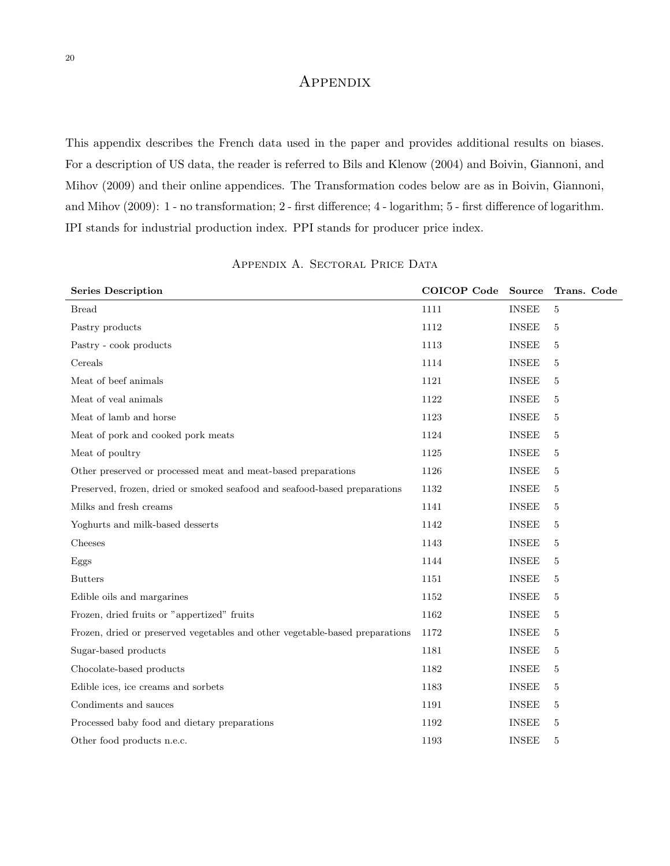### **APPENDIX**

This appendix describes the French data used in the paper and provides additional results on biases. For a description of US data, the reader is referred to Bils and Klenow (2004) and Boivin, Giannoni, and Mihov (2009) and their online appendices. The Transformation codes below are as in Boivin, Giannoni, and Mihov (2009): 1 - no transformation; 2 - first difference; 4 - logarithm; 5 - first difference of logarithm. IPI stands for industrial production index. PPI stands for producer price index.

| <b>Series Description</b>                                                    | COICOP Code | <b>Source</b> | Trans. Code |
|------------------------------------------------------------------------------|-------------|---------------|-------------|
| <b>Bread</b>                                                                 | 1111        | <b>INSEE</b>  | 5           |
| Pastry products                                                              | 1112        | <b>INSEE</b>  | 5           |
| Pastry - cook products                                                       | 1113        | <b>INSEE</b>  | 5           |
| Cereals                                                                      | 1114        | <b>INSEE</b>  | 5           |
| Meat of beef animals                                                         | 1121        | <b>INSEE</b>  | 5           |
| Meat of yeal animals                                                         | 1122        | <b>INSEE</b>  | 5           |
| Meat of lamb and horse                                                       | 1123        | <b>INSEE</b>  | 5           |
| Meat of pork and cooked pork meats                                           | 1124        | <b>INSEE</b>  | 5           |
| Meat of poultry                                                              | 1125        | <b>INSEE</b>  | 5           |
| Other preserved or processed meat and meat-based preparations                | 1126        | <b>INSEE</b>  | 5           |
| Preserved, frozen, dried or smoked seafood and seafood-based preparations    | 1132        | <b>INSEE</b>  | 5           |
| Milks and fresh creams                                                       | 1141        | <b>INSEE</b>  | 5           |
| Yoghurts and milk-based desserts                                             | 1142        | <b>INSEE</b>  | 5           |
| Cheeses                                                                      | 1143        | <b>INSEE</b>  | 5           |
| Eggs                                                                         | 1144        | <b>INSEE</b>  | 5           |
| <b>Butters</b>                                                               | 1151        | <b>INSEE</b>  | 5           |
| Edible oils and margarines                                                   | 1152        | <b>INSEE</b>  | 5           |
| Frozen, dried fruits or "appertized" fruits                                  | 1162        | <b>INSEE</b>  | 5           |
| Frozen, dried or preserved vegetables and other vegetable-based preparations | 1172        | <b>INSEE</b>  | 5           |
| Sugar-based products                                                         | 1181        | <b>INSEE</b>  | 5           |
| Chocolate-based products                                                     | 1182        | <b>INSEE</b>  | 5           |
| Edible ices, ice creams and sorbets                                          | 1183        | <b>INSEE</b>  | 5           |
| Condiments and sauces                                                        | 1191        | <b>INSEE</b>  | 5           |
| Processed baby food and dietary preparations                                 | 1192        | <b>INSEE</b>  | 5           |
| Other food products n.e.c.                                                   | 1193        | <b>INSEE</b>  | 5           |

APPENDIX A. SECTORAL PRICE DATA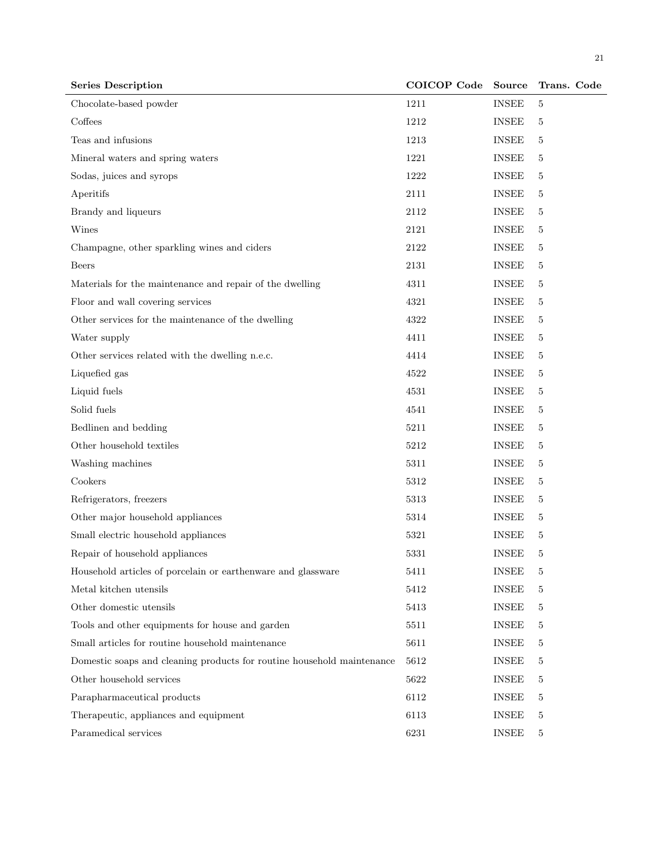| <b>Series Description</b>                                              | COICOP Code | <b>Source</b> | Trans. Code |
|------------------------------------------------------------------------|-------------|---------------|-------------|
| Chocolate-based powder                                                 | 1211        | <b>INSEE</b>  | 5           |
| Coffees                                                                | 1212        | <b>INSEE</b>  | 5           |
| Teas and infusions                                                     | 1213        | <b>INSEE</b>  | 5           |
| Mineral waters and spring waters                                       | 1221        | <b>INSEE</b>  | 5           |
| Sodas, juices and syrops                                               | 1222        | <b>INSEE</b>  | 5           |
| Aperitifs                                                              | 2111        | <b>INSEE</b>  | 5           |
| Brandy and liqueurs                                                    | 2112        | <b>INSEE</b>  | 5           |
| Wines                                                                  | 2121        | <b>INSEE</b>  | 5           |
| Champagne, other sparkling wines and ciders                            | 2122        | <b>INSEE</b>  | 5           |
| Beers                                                                  | 2131        | <b>INSEE</b>  | 5           |
| Materials for the maintenance and repair of the dwelling               | 4311        | <b>INSEE</b>  | 5           |
| Floor and wall covering services                                       | 4321        | <b>INSEE</b>  | 5           |
| Other services for the maintenance of the dwelling                     | 4322        | <b>INSEE</b>  | 5           |
| Water supply                                                           | 4411        | <b>INSEE</b>  | 5           |
| Other services related with the dwelling n.e.c.                        | 4414        | <b>INSEE</b>  | 5           |
| Liquefied gas                                                          | 4522        | <b>INSEE</b>  | 5           |
| Liquid fuels                                                           | 4531        | <b>INSEE</b>  | 5           |
| Solid fuels                                                            | 4541        | <b>INSEE</b>  | 5           |
| Bedlinen and bedding                                                   | 5211        | <b>INSEE</b>  | 5           |
| Other household textiles                                               | 5212        | <b>INSEE</b>  | 5           |
| Washing machines                                                       | 5311        | <b>INSEE</b>  | 5           |
| Cookers                                                                | 5312        | <b>INSEE</b>  | 5           |
| Refrigerators, freezers                                                | 5313        | <b>INSEE</b>  | 5           |
| Other major household appliances                                       | 5314        | <b>INSEE</b>  | 5           |
| Small electric household appliances                                    | 5321        | <b>INSEE</b>  | 5           |
| Repair of household appliances                                         | 5331        | <b>INSEE</b>  | 5           |
| Household articles of porcelain or earthenware and glassware           | 5411        | <b>INSEE</b>  | 5           |
| Metal kitchen utensils                                                 | 5412        | <b>INSEE</b>  | 5           |
| Other domestic utensils                                                | 5413        | <b>INSEE</b>  | 5           |
| Tools and other equipments for house and garden                        | 5511        | <b>INSEE</b>  | 5           |
| Small articles for routine household maintenance                       | 5611        | <b>INSEE</b>  | 5           |
| Domestic soaps and cleaning products for routine household maintenance | 5612        | <b>INSEE</b>  | 5           |
| Other household services                                               | 5622        | <b>INSEE</b>  | 5           |
| Parapharmaceutical products                                            | 6112        | <b>INSEE</b>  | 5           |
| Therapeutic, appliances and equipment                                  | 6113        | <b>INSEE</b>  | 5           |
| Paramedical services                                                   | 6231        | <b>INSEE</b>  | 5           |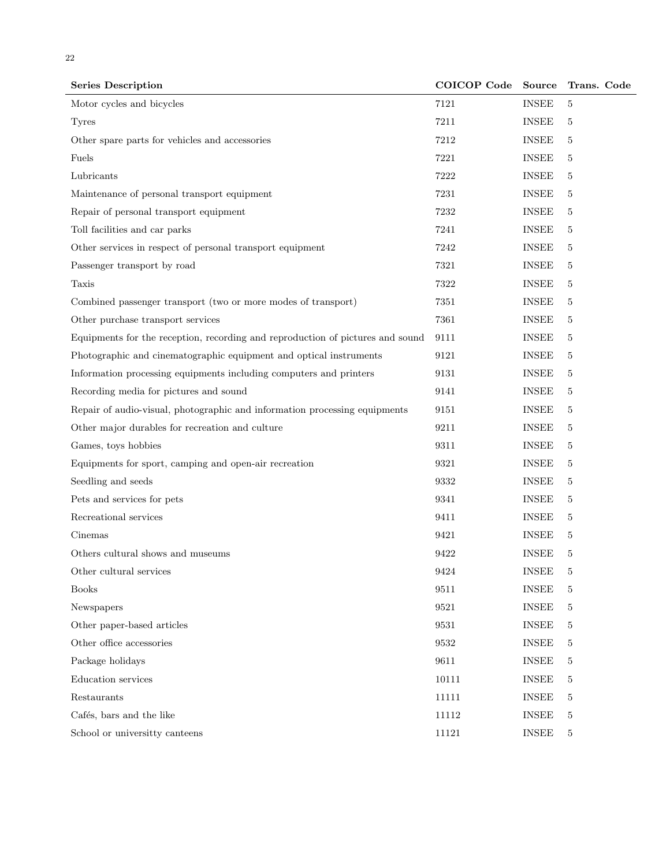| <b>Series Description</b>                                                      | COICOP Code         | Source                 | Trans. Code |
|--------------------------------------------------------------------------------|---------------------|------------------------|-------------|
| Motor cycles and bicycles                                                      | 7121                | <b>INSEE</b>           | 5           |
| <b>Tyres</b>                                                                   | 7211                | <b>INSEE</b>           | 5           |
| Other spare parts for vehicles and accessories                                 | 7212                | <b>INSEE</b>           | 5           |
| Fuels                                                                          | 7221                | <b>INSEE</b>           | 5           |
| Lubricants                                                                     | 7222                | <b>INSEE</b>           | 5           |
| Maintenance of personal transport equipment                                    | 7231                | <b>INSEE</b>           | 5           |
| Repair of personal transport equipment                                         | 7232                | <b>INSEE</b>           | 5           |
| Toll facilities and car parks                                                  | 7241                | <b>INSEE</b>           | 5           |
| Other services in respect of personal transport equipment                      | 7242                | <b>INSEE</b>           | 5           |
| Passenger transport by road                                                    | 7321                | <b>INSEE</b>           | 5           |
| Taxis                                                                          | 7322                | <b>INSEE</b>           | 5           |
| Combined passenger transport (two or more modes of transport)                  | 7351                | <b>INSEE</b>           | 5           |
| Other purchase transport services                                              | 7361                | <b>INSEE</b>           | 5           |
| Equipments for the reception, recording and reproduction of pictures and sound | 9111                | <b>INSEE</b>           | 5           |
| Photographic and cinematographic equipment and optical instruments             | 9121                | <b>INSEE</b>           | 5           |
| Information processing equipments including computers and printers             | 9131                | <b>INSEE</b>           | 5           |
| Recording media for pictures and sound                                         | 9141                | <b>INSEE</b>           | 5           |
| Repair of audio-visual, photographic and information processing equipments     | 9151                | <b>INSEE</b>           | 5           |
| Other major durables for recreation and culture                                | 9211                | <b>INSEE</b>           | 5           |
| Games, toys hobbies                                                            | 9311                | <b>INSEE</b>           | 5           |
| Equipments for sport, camping and open-air recreation                          | 9321                | <b>INSEE</b>           | 5           |
| Seedling and seeds                                                             | 9332                | <b>INSEE</b>           | 5           |
| Pets and services for pets                                                     | 9341                | <b>INSEE</b>           | 5           |
| Recreational services                                                          | 9411                | <b>INSEE</b>           | 5           |
| Cinemas                                                                        | 9421                | <b>INSEE</b>           | 5           |
| Others cultural shows and museums                                              | 9422                | <b>INSEE</b>           | 5           |
| Other cultural services                                                        | $\boldsymbol{9424}$ | $\operatorname{INSEE}$ | 5           |
| <b>Books</b>                                                                   | 9511                | <b>INSEE</b>           | 5           |
| Newspapers                                                                     | $9521\,$            | <b>INSEE</b>           | 5           |
| Other paper-based articles                                                     | 9531                | <b>INSEE</b>           | 5           |
| Other office accessories                                                       | 9532                | <b>INSEE</b>           | 5           |
| Package holidays                                                               | 9611                | <b>INSEE</b>           | 5           |
| Education services                                                             | 10111               | <b>INSEE</b>           | 5           |
| Restaurants                                                                    | 11111               | <b>INSEE</b>           | 5           |
| Cafés, bars and the like                                                       | $11112\,$           | <b>INSEE</b>           | 5           |
| School or universitty canteens                                                 | 11121               | <b>INSEE</b>           | $\mathbf 5$ |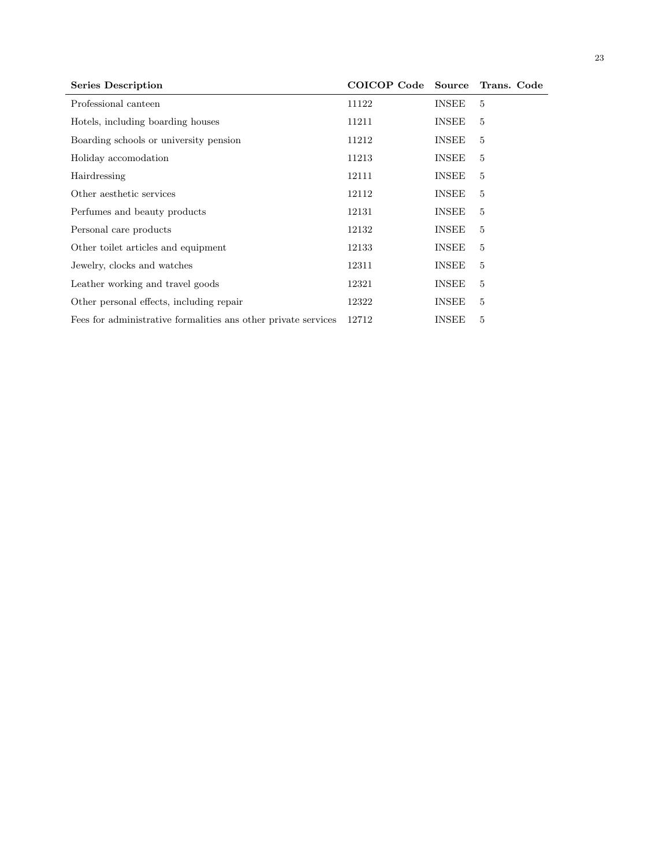| <b>Series Description</b>                                      | COICOP Code Source |              | Trans. Code    |
|----------------------------------------------------------------|--------------------|--------------|----------------|
| Professional canteen                                           | 11122              | <b>INSEE</b> | 5              |
| Hotels, including boarding houses                              | 11211              | <b>INSEE</b> | 5              |
| Boarding schools or university pension                         | 11212              | <b>INSEE</b> | $\overline{5}$ |
| Holiday accomodation                                           | 11213              | <b>INSEE</b> | $\overline{5}$ |
| Hairdressing                                                   | 12111              | <b>INSEE</b> | 5              |
| Other aesthetic services                                       | 12112              | <b>INSEE</b> | 5              |
| Perfumes and beauty products                                   | 12131              | <b>INSEE</b> | 5              |
| Personal care products                                         | 12132              | <b>INSEE</b> | 5              |
| Other toilet articles and equipment                            | 12133              | <b>INSEE</b> | 5              |
| Jewelry, clocks and watches                                    | 12311              | <b>INSEE</b> | 5              |
| Leather working and travel goods                               | 12321              | <b>INSEE</b> | 5              |
| Other personal effects, including repair                       | 12322              | <b>INSEE</b> | 5              |
| Fees for administrative formalities ans other private services | 12712              | <b>INSEE</b> | 5              |
|                                                                |                    |              |                |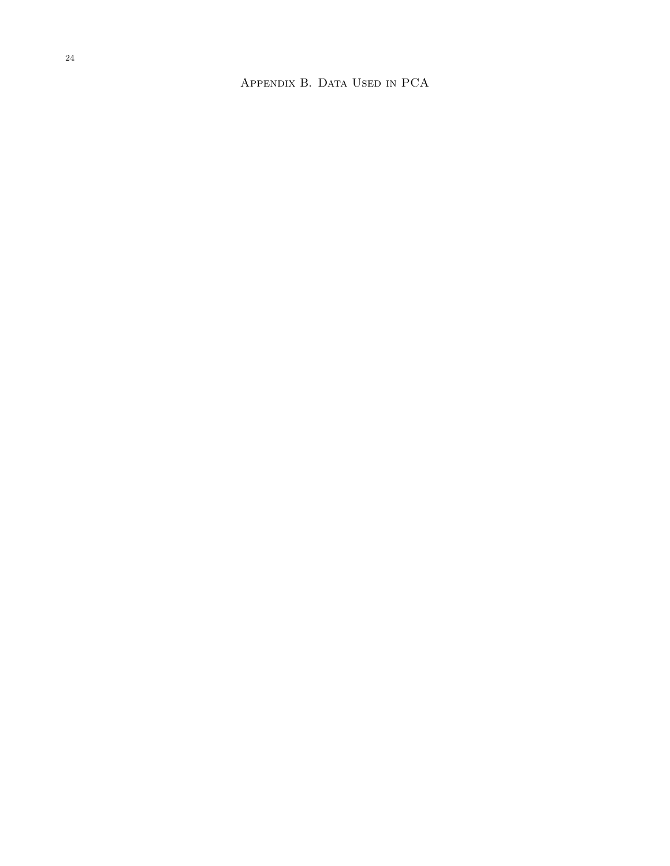Appendix B. Data Used in PCA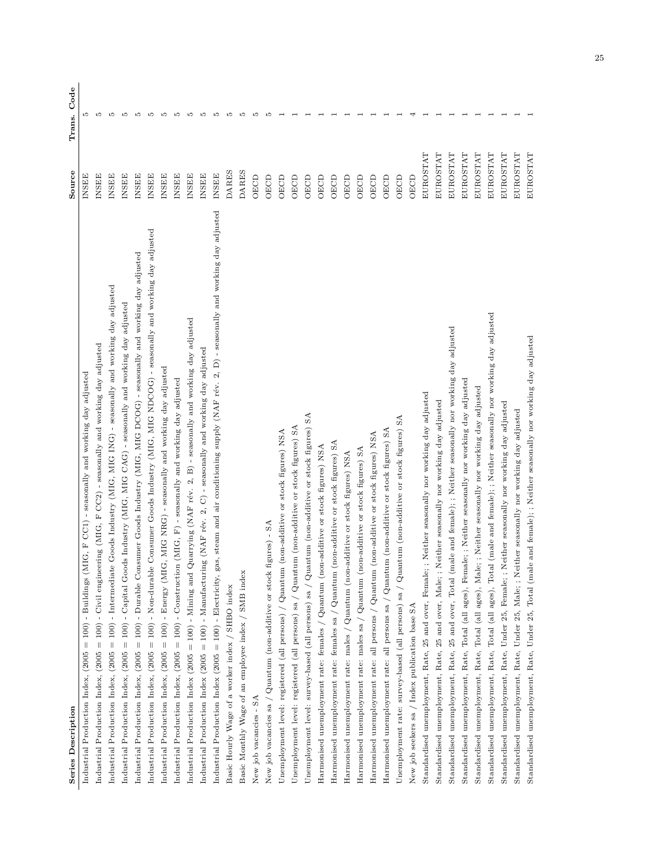| <b>Series Description</b>                                                                                                                            | Source       | Code<br>Trans. |
|------------------------------------------------------------------------------------------------------------------------------------------------------|--------------|----------------|
| - Buildings (MIG, F CC1) - seasonally and working day adjusted<br>Industrial Production Index, $(2005 = 100)$                                        | INSEE        | LO             |
| Industrial Production Index, (2005 = 100) - Civil engineering (MIG, F CC2) - seasonally and working day adjusted                                     | <b>INSEE</b> | LO             |
| Industrial Production Index, (2005 = 100) - Intermediate Goods Industry (MIG, MIG ING) - seasonally and working day adjusted                         | <b>INSEE</b> | LO             |
| Industrial Production Index, (2005 = 100) - Capital Goods Industry (MIG, MIG CAG) - seasonally and working day adjusted                              | <b>INSEE</b> | Ľ              |
| Industrial Production Index, (2005 = 100) - Durable Consumer Goods Industry (MIG, MIG DCOG) - seasonally and working day adjusted                    | <b>INSEE</b> | Ľ              |
| Industrial Production Index, (2005 = 100) - Non-durable Consumer Goods Industry (MIG, MIG NDCOG) - seasonally and working day adjusted               | <b>INSEE</b> | Ľ              |
| Industrial Production Index, (2005 = 100) - Energy (MIG, MIG NRG) - seasonally and working day adjusted                                              | <b>INSEE</b> | LO             |
| Industrial Production Index, (2005 = 100) - Construction (MIG, F) - seasonally and working day adjusted                                              | <b>INSEE</b> | Ľ              |
| Industrial Production Index (2005 = 100) - Mining and Quarrying (NAF rév. 2, B) - seasonally and working day adjusted                                | <b>INSEE</b> | Ľ              |
| Industrial Production Index (2005 = 100) - Manufacturing (NAF rév. 2, C) - seasonally and working day adjusted                                       | <b>INSEE</b> | LO             |
| Industrial Production Index (2005 = 100) - Electricity, gas, steam and air conditioning supply (NAF rév. 2, D) - seasonally and working day adjusted | <b>INSEE</b> | ı0             |
| Basic Hourly Wage of a worker index / SHBO index                                                                                                     | DARES        | LO             |
| Basic Monthly Wage of an employee index / SMB index                                                                                                  | DARES        | LO             |
| New job vacancies - SA                                                                                                                               | OECD         | ю              |
| $figures) - SA$<br>New job vacancies sa / Quantum (non-additive or stock                                                                             | OECD         | ω              |
| (non-additive or stock figures) NSA<br>Unemployment level: registered (all persons) / Quantum                                                        | OECD         |                |
| Unemployment level: registered (all persons) sa $/$ Quantum (non-additive or stock figures) SA                                                       | OECD         |                |
| SA<br>Unemployment level: survey-based (all persons) sa / Quantum (non-additive or stock figures)                                                    | OECD         |                |
| Harmonised unemployment rate: females / Quantum (non-additive or stock figures) NSA                                                                  | OECD         |                |
| (non-additive or stock figures) SA<br>Harmonised unemployment rate: females sa / $\operatorname{Quantum}$                                            | OECD         |                |
| Harmonised unemployment rate: males / Quantum (non-additive or stock figures) NSA                                                                    | OECD         |                |
| Harmonised unemployment rate: males sa / Quantum (non-additive or stock figures) SA                                                                  | OECD         |                |
| Harmonised unemployment rate: all persons / Quantum (non-additive or stock figures) NSA                                                              | OECD         |                |
| Harmonised unemployment rate: all persons sa / Quantum (non-additive or stock figures) SA                                                            | OECD         |                |
| Unemployment rate: survey-based (all persons) sa $\sqrt{Q}$ uantum (non-additive or stock figures) SA                                                | OECD         |                |
| New job seekers sa / Index publication base SA                                                                                                       | OECD         |                |
| Standardised unemployment, Rate, 25 and over, Female; ; Neither seasonally nor working day adjusted                                                  | EUROSTAT     |                |
| Neither seasonally nor working day adjusted<br>Standardised unemployment, Rate, 25 and over, Male; ;                                                 | EUROSTAT     |                |
| Standardised unemployment, Rate, 25 and over, Total (male and female); ; Neither seasonally nor working day adjusted                                 | EUROSTAT     |                |
| Standardised unemployment, Rate, Total (all ages), Female; ; Neither seasonally nor working day adjusted                                             | EUROSTAT     |                |
| Standardised unemployment, Rate, Total (all ages), Male; ; Neither seasonally nor working day adjusted                                               | EUROSTAT     |                |
| Standardised unemployment, Rate, Total (all ages), Total (male and female); ; Neither seasonally nor working day adjusted                            | EUROSTAT     |                |
| Standardised unemployment, Rate, Under 25, Female; ; Neither seasonally nor working day adjusted                                                     | EUROSTAT     |                |
| Standardised unemployment, Rate, Under 25, Male; ; Neither seasonally nor working day adjusted                                                       | EUROSTAT     |                |
| Standardised unemployment, Rate, Under 25, Total (male and female); ; Neither seasonally nor working day adjusted                                    | EUROSTAT     |                |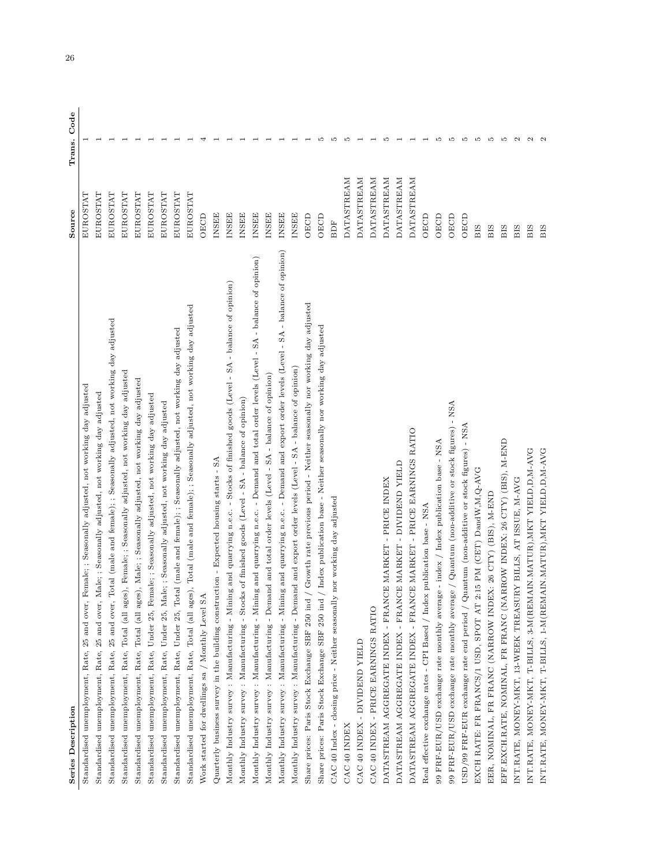| <b>Series Description</b>                                                                                                                | Source            | Code<br>Trans.    |
|------------------------------------------------------------------------------------------------------------------------------------------|-------------------|-------------------|
| and over, Female; ; Seasonally adjusted, not working day adjusted<br>unemployment, Rate, 25<br>Standardised                              | EUROSTAT          |                   |
| and over, Male; ; Seasonally adjusted, not working day adjusted<br>Standardised unemployment, Rate, 25                                   | <b>EUROSTAT</b>   |                   |
| Standardised unemployment, Rate, 25 and over, Total (male and female); ; Seasonally adjusted, not working day adjusted                   | EUROSTAT          |                   |
| Standardised unemployment, Rate, Total (all ages), Female; ; Seasonally adjusted, not working day adjusted                               | EUROSTAT          |                   |
| Standardised unemployment, Rate, Total (all ages), Male; ; Seasonally adjusted, not working day adjusted                                 | EUROSTAT          |                   |
| Standardised unemployment, Rate, Under 25, Female; ; Seasonally adjusted, not working day adjusted                                       | EUROSTAT          |                   |
| Standardised unemployment, Rate, Under 25, Male; Seasonally adjusted, not working day adjusted                                           | EUROSTAT          |                   |
| Standardised unemployment, Rate, Under 25, Total (male and female); ; Seasonally adjusted, not working day adjusted                      | EUROSTAT          |                   |
| Standardised unemployment, Rate, Total (all ages), Total (male and female); ; Seasonally adjusted, not working day adjusted              | EUROSTAT          |                   |
| Work started for dwellings sa / Monthly Level SA                                                                                         | OECD              |                   |
| Quarterly business survey in the building construction - Expected housing starts - SA                                                    | <b>INSEE</b>      |                   |
| Monthly Industry survey : Manufacturing - Mining and quarrying n.e.c. - Stocks of finished goods (Level - SA - balance of opinion)       | <b>INSEE</b>      |                   |
| Monthly Industry survey : Manufacturing - Stocks of finished goods (Level - SA - balance of opinion)                                     | INSEE             |                   |
| Monthly Industry survey: Manufacturing - Mining and quarrying n.e.c. - Demand and total order levels (Level - SA - balance of opinion)   | <b>INSEE</b>      |                   |
| Monthly Industry survey: Manufacturing - Demand and total order levels (Level - SA - balance of opinion)                                 | <b>INSEE</b>      |                   |
| Monthly Industry survey : Manufacturing - Mining and quarrying n.e.c. - Demand and export order levels (Level - SA - balance of opinion) | <b>INSEE</b>      |                   |
| Monthly Industry survey: Manufacturing - Demand and export order levels (Level - SA - balance of opinion)                                | <b>INSEE</b>      |                   |
| Growth rate previous period - Neither seasonally nor working day adjusted<br>Share prices: Paris Stock Exchange SBF 250 ind /            | <b>OECD</b>       |                   |
| Share prices: Paris Stock Exchange SBF 250 ind / Index publication base - Neither seasonally nor working day adjusted                    | OECD              |                   |
| nor working day adjusted<br>CAC 40 Index - closing price - Neither seasonally                                                            | BDF               |                   |
| CAC 40 INDEX                                                                                                                             | <b>DATASTREAM</b> |                   |
| CAC 40 INDEX - DIVIDEND YIELD                                                                                                            | <b>DATASTREAM</b> |                   |
| CAC 40 INDEX - PRICE EARNINGS RATIO                                                                                                      | <b>DATASTREAM</b> |                   |
| E MARKET - PRICE INDEX<br>DATASTREAM AGGREGATE INDEX - FRANC                                                                             | <b>DATASTREAM</b> | ω                 |
| E MARKET - DIVIDEND YIELD<br>DATASTREAM AGGREGATE INDEX - FRANC                                                                          | <b>DATASTREAM</b> |                   |
| E MARKET - PRICE EARNINGS RATIO<br>DATASTREAM AGGREGATE INDEX - FRANC                                                                    | <b>DATASTREAM</b> |                   |
| publication base - NSA<br>Real effective exchange rates - CPI Based / Index                                                              | OECD              |                   |
| 99 FRF-EUR/USD exchange rate monthly average - index / Index publication base - NSA                                                      | OECD              | LO                |
| $99$ FRF-EUR/USD exchange rate monthly average / Quantum (non-additive or stock figures) - ${\tt NSA}$                                   | OECD              | Ľ                 |
| $USD/99$ FRF-EUR exchange rate end period $/$ Quantum (non-additive or stock figures) - NSA                                              | OECD              | S                 |
| EXCH RATE: FR FRANCS/1 USD, SPOT AT 2:15 PM (CET) DandW,M,Q-AVG                                                                          | BIS               | S                 |
| EER, NOMINAL, FR FRANC (NARROW INDEX: 26 CTY) (BIS), M-END                                                                               | BIS               | LO                |
| EFF EXCH RATE, NOMINAL, FR FRANC (NARROW INDEX: 26 CTY) (BIS), M-END                                                                     | BIS               | LO                |
| INT.RATE, MONEY-MKT, 13-WEEK TREASURY BILLS, AT ISSUE, M-AVG                                                                             | BIS               | $\sim$            |
| INT.RATE, MONEY-MKT, T-BILLS, 3-M(REMAIN.MATUR),MKT YIELD,D,M-AVG                                                                        | BIS               | $\mathbf{\Omega}$ |
| INT.RATE, MONEY-MKT, T-BILLS, 1-M(REMAIN.MATUR),MKT YIELD,D,M-AVG                                                                        | BIS               |                   |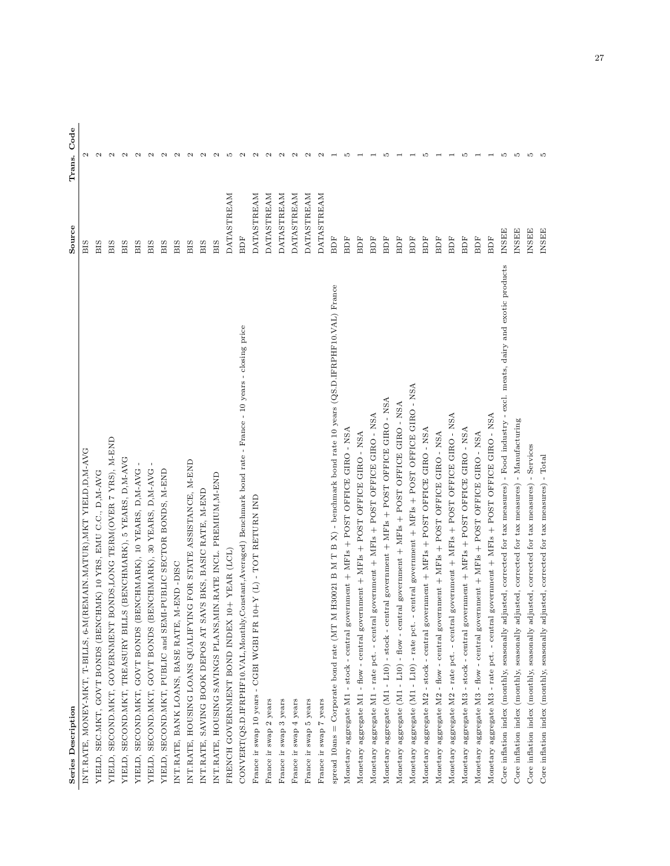| Series Description                                                                                                                            | Source            | Code<br>Trans.    |
|-----------------------------------------------------------------------------------------------------------------------------------------------|-------------------|-------------------|
| EMAIN.MATUR), MKT YIELD, D, M-AVG<br>INT.RATE, MONEY-MKT, T-BILLS, 6-M(R                                                                      | BIS               | $\sim$            |
| YIELD, SEC.MKT, GOVT BONDS (BENCHMK) 10 YRS, EMU C.C., D.M-AVG                                                                                | BIS               | $\sim$            |
| ONDS, LONG TERM (OVER 7 YRS), M-END<br>YIELD, SECOND.MKT, GOVERNMENT BO                                                                       | BIS               | $\mathbf{c}$      |
| (BENCHMARK), 5 YEARS, D,M-AVG<br>YIELD, SECOND.MKT, TREASURY BILLS                                                                            | ВIS               | $\mathbf{\Omega}$ |
| NCHMARK), 10 YEARS, D,M-AVG<br>YIELD, SECOND.MKT, GOVT BONDS (BE                                                                              | BIS               | $\sim$            |
| NCHMARK), 30 YEARS, D,M-AVG<br>YIELD, SECOND.MKT, GOVT BONDS (BE                                                                              | BIS               | $\sim$            |
| PUBLIC SECTOR BONDS, M-END<br>YIELD, SECOND.MKT, PUBLIC and SEMI-                                                                             | BIS               | $\sim$            |
| INT.RATE, BANK LOANS, BASE RATE, M-END -DISC                                                                                                  | BIS               | $\sim$            |
| INT RATE, HOUSING LOANS QUALIFYING FOR STATE ASSISTANCE, M-END                                                                                | <b>BIS</b>        | $\sim$            |
| 'S BKS, BASIC RATE, M-ENL<br>INT.RATE, SAVING BOOK DEPOS AT SAV                                                                               | <b>BIS</b>        | $\sim$            |
| INT.RATE, HOUSING SAVINGS PLANS,MIN.RATE INCL. PREMIUM,M-END                                                                                  | BIS               | $\sim$            |
| FRENCH GOVERNMENT BOND INDEX 10+ YEAR (LCL)                                                                                                   | <b>DATASTREAM</b> | LO                |
| $CONVERT(QS.D. IFRFHT10.VAL, Monthly, Constant, Averaged)$ Benchmark bond rate - France - 10 years - closing price                            | BDF               | $\mathbf{\Omega}$ |
| France ir swap 10 years - CGBI WGBI FR $10+Y(L)$ - TOT RETURN IND                                                                             | <b>DATASTREAM</b> | $\sim$            |
| France ir swap 2 years                                                                                                                        | <b>DATASTREAM</b> | $\sim$            |
| France ir swap 3 years                                                                                                                        | <b>DATASTREAM</b> | $\mathbf{\Omega}$ |
| France ir swap 4 years                                                                                                                        | <b>DATASTREAM</b> | $\sim$            |
| France ir swap 5 years                                                                                                                        | <b>DATASTREAM</b> | $\sim$            |
| France ir swap 7 years                                                                                                                        | <b>DATASTREAM</b> | $\sim$            |
| H30021 B M T B X) - benchmark bond rate 10 years (QS.D.IFRPHF10.VAL) France<br>spread 10ans = Corporate bond rate (MT M                       | BDF               |                   |
| Monetary aggregate M1 - stock - central government + MFIs + POST OFFICE GIRO - NSA                                                            | BDF               | Ľ                 |
| Monetary aggregate M1 - flow - central government $+$ MFls $+$ POST OFFICE GIRO - NSA                                                         | BDF               |                   |
| Monetary aggregate M1 - rate pct. - central government + MFIs + POST OFFICE GIRO - NSA                                                        | BDF               |                   |
| Monetary aggregate (M1 - L10) - stock - central government + MF1s + POST OFFICE GIRO - NSA                                                    | BDF               | Ľ                 |
| Monetary aggregate (M1 - L10) - flow - central government + MF1s + POST OFFICE GIRO - NSA                                                     | <b>BDF</b>        |                   |
| Monetary aggregate (M1 - L10) - rate pct. - central government + MFIs + POST OFFICE GIRO - NSA                                                | BDF               |                   |
| Monetary aggregate M2 - stock - central government + MFIs + POST OFFICE GIRO - NSA                                                            | <b>BDF</b>        | LO                |
| Monetary aggregate M2 - flow - central government + MFIs + POST OFFICE GIRO - NSA                                                             | <b>BDF</b>        |                   |
| Monetary aggregate M2 - rate pct. - central government + MF1s + POST OFFICE GIRO - NSA                                                        | BDF               |                   |
| Monetary aggregate M3 - stock - central government $+$ MFIs $+$ POST OFFICE GIRO - NSA                                                        | BDF               | Ľ                 |
| Monetary aggregate M3 - flow - central government + MFIs + POST OFFICE GIRO - NSA                                                             | BDF               |                   |
| Monetary aggregate M3 - rate pct. - central government + MF1s + POST OFFICE GIRO - NSA                                                        | <b>BDF</b>        |                   |
| isted, corrected for tax measures) - Food industry - excl. meats, dairy and exotic products<br>Core inflation index (monthly, seasonally adju | <b>INSEE</b>      | S                 |
| - Manufacturing<br>Core inflation index (monthly, seasonally adjusted, corrected for tax measures)                                            | INSEE             | IJ                |
| - Services<br>Core inflation index (monthly, seasonally adjusted, corrected for tax measures)                                                 | <b>INSEE</b>      | LO                |
| Core inflation index (monthly, seasonally adjusted, corrected for tax measures) - $Total$                                                     | <b>INSEE</b>      |                   |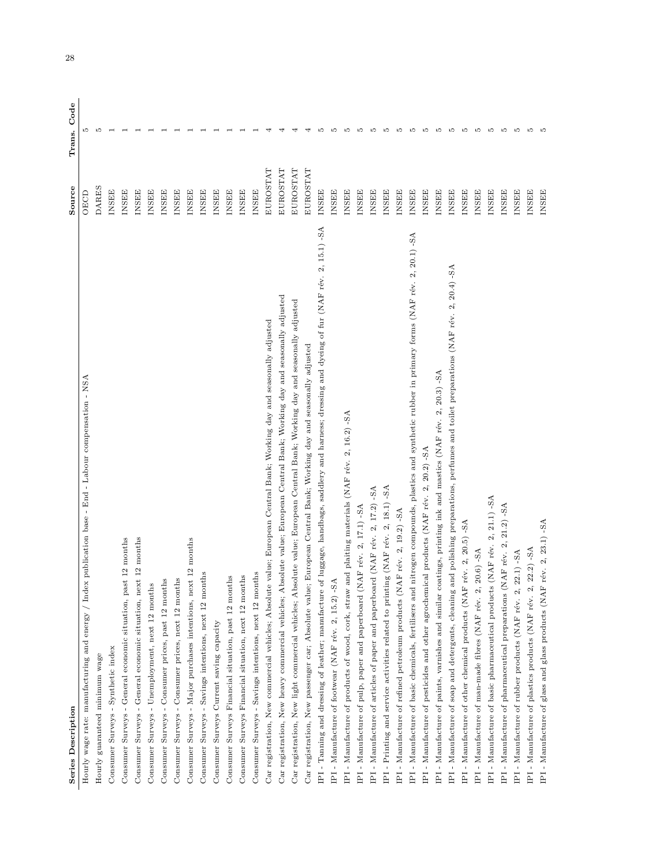| Series Description                                                                                                                                 | Source          | Code<br>Trans. |
|----------------------------------------------------------------------------------------------------------------------------------------------------|-----------------|----------------|
| Hourly wage rate: manufacturing and energy / Index publication base - End - Labour compensation - NSA                                              | OECD            | LO             |
| Hourly guaranteed minimum wage                                                                                                                     | <b>DARES</b>    | LO             |
| Consumer Surveys - Synthetic index                                                                                                                 | <b>INSEE</b>    |                |
| Consumer Surveys - General economic situation, past 12 months                                                                                      | <b>INSEE</b>    |                |
| Consumer Surveys - General economic situation, next 12 months                                                                                      | <b>INSEE</b>    |                |
| Consumer Surveys - Unemployment, next 12 months                                                                                                    | <b>INSEE</b>    |                |
| Consumer Surveys - Consumer prices, past 12 months                                                                                                 | <b>INSEE</b>    |                |
| Consumer Surveys - Consumer prices, next 12 months                                                                                                 | <b>INSEE</b>    |                |
| Consumer Surveys - Major purchases intentions, next 12 months                                                                                      | <b>INSEE</b>    |                |
| Consumer Surveys - Savings intentions, next 12 months                                                                                              | <b>INSEE</b>    |                |
| Consumer Surveys Current saving capacity                                                                                                           | <b>INSEE</b>    |                |
| Consumer Surveys Financial situation, past 12 months                                                                                               | <b>INSEE</b>    |                |
| Consumer Surveys Financial situation, next 12 months                                                                                               | <b>INSEE</b>    |                |
| Consumer Surveys - Savings intentions, next 12 months                                                                                              | <b>INSEE</b>    |                |
| value; European Central Bank; Working day and seasonally adjusted<br>Car registration, New commercial vehicles; Absolute                           | <b>EUROSTAT</b> |                |
| Car registration, New heavy commercial vehicles; Absolute value; European Central Bank; Working day and seasonally adjusted                        | EUROSTAT        |                |
| solute value; European Central Bank; Working day and seasonally adjusted<br>Car registration, New light commercial vehicles; Abs                   | EUROSTAT        |                |
| Car registration, New passenger car; Absolute value; European Central Bank; Working day and seasonally adjusted                                    | EUROSTAT        |                |
| IPI - Tanning and dressing of leather; manufacture of luggage, handbags, saddlery and harness; dressing and dyeing of fur (NAF rév. 2, 15.1) -SA   | <b>INSEE</b>    | LO             |
| IPI - Manufacture of footwear (NAF rév. 2, 15.2) -SA                                                                                               | <b>INSEE</b>    | Ľ              |
| and plaiting materials (NAF rév. 2, 16.2) -SA<br>Manufacture of products of wood, cork, straw<br>$\overline{E}$                                    | <b>INSEE</b>    | Ľ              |
| IPI - Manufacture of pulp, paper and paperboard (NAF rév. 2, 17.1) -SA                                                                             | <b>INSEE</b>    | Ľ              |
| IPI - Manufacture of articles of paper and paperboard (NAF rév. 2, 17.2) -SA                                                                       | <b>INSEE</b>    | <b>LO</b>      |
| IPI - Printing and service activities related to printing (NAF rév. 2, 18.1) -SA                                                                   | <b>INSEE</b>    | <b>LC</b>      |
| AF rév. 2, 19.2) -SA<br>IPI - Manufacture of refined petroleum products (N                                                                         | <b>INSEE</b>    | <b>LC</b>      |
| nitrogen compounds, plastics and synthetic rubber in primary forms (NAF rév. 2, 20.1) -SA<br>IPI - Manufacture of basic chemicals, fertilisers and | <b>INSEE</b>    | <b>LO</b>      |
| IPI - Manufacture of pesticides and other agrochemical products (NAF rév. 2, 20.2) -SA                                                             | <b>INSEE</b>    | <b>LC</b>      |
| IPI - Manufacture of paints, varnishes and similar coatings, printing ink and mastics (NAF rév. 2, 20.3) -SA                                       | <b>INSEE</b>    | <b>LO</b>      |
| IPI - Manufacture of soap and detergents, cleaning and polishing preparations, perfumes and toilet preparations (NAF rév. 2, 20.4) -SA             | <b>INSEE</b>    | ഥ              |
| IPI - Manufacture of other chemical products (NAF rév. 2, 20.5) -SA                                                                                | <b>INSEE</b>    | P              |
| $20.6$ ) -SA<br>IPI - Manufacture of man-made fibres (NAF rév. 2,                                                                                  | <b>INSEE</b>    | <b>LO</b>      |
| (NAF rév. 2, 21.1) -SA<br>IPI - Manufacture of basic pharmaceutical products                                                                       | <b>INSEE</b>    | ഥ              |
| $-SA$<br>21.2)<br>IPI - Manufacture of pharmaceutical preparations (NAF rév. 2,                                                                    | <b>INSEE</b>    | ഹ              |
| $22.1) - SA$<br>IPI - Manufacture of rubber products (NAF rév. 2,                                                                                  | <b>INSEE</b>    | ഹ              |
| $22.2) - SA$<br>IPI - Manufacture of plastics products (NAF rév. 2,                                                                                | <b>INSEE</b>    | LO             |
| rév. 2, 23.1) - SA<br>IPI - Manufacture of glass and glass products (NAF                                                                           | <b>INSEE</b>    | ı.             |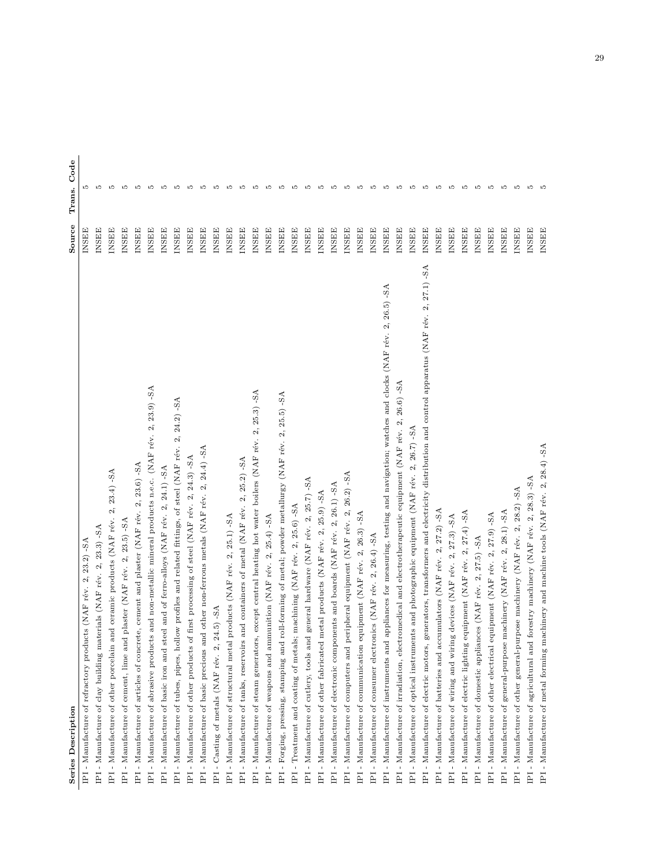| Series Description                                                                                                                          | Source       | Code<br>Trans |
|---------------------------------------------------------------------------------------------------------------------------------------------|--------------|---------------|
| - Manufacture of refractory products (NAF rév. 2, 23.2) -SA<br>IFI                                                                          | INSEE        | LO            |
| IPI - Manufacture of clay building materials (NAF rév. 2, 23.3) -SA                                                                         | INSEE        | LO            |
| $2, 23.4$ ) - SA<br>IPI - Manufacture of other porcelain and ceramic products (NAF rév.                                                     | <b>INSEE</b> | P.            |
| IPI - Manufacture of cement, lime and plaster (NAF rév. 2, 23.5) -SA                                                                        | <b>INSEE</b> | D.            |
| $2, 23.6$ ) -SA<br>IPI - Manufacture of articles of concrete, cement and plaster (NAF rév.                                                  | <b>INSEE</b> | <b>LC</b>     |
| $23.9) - SA$<br>is and non-metallic mineral products n.e.c. (NAF rév. 2,<br>IPI - Manufacture of abrasive product                           | <b>INSEE</b> | <b>LC</b>     |
| IPI - Manufacture of basic iron and steel and of ferro-alloys (NAF rév. 2, 24.1) -8A                                                        | <b>INSEE</b> | LO            |
| $-SA$<br>24.2<br>$\mathcal{L}$<br>IPI - Manufacture of tubes, pipes, hollow profiles and related fittings, of steel (NAF rév.               | <b>INSEE</b> | LO            |
| IPI - Manufacture of other products of first processing of steel (NAF rév. 2, 24.3) -SA                                                     | <b>INSEE</b> | Ľ             |
| IP1 - Manufacture of basic precious and other non-ferrous metals (NAF rév. 2, 24.4) -SA                                                     | <b>INSEE</b> | LO            |
| $24.5) - SA$<br>IPI - Casting of metals (NAF rév. 2,                                                                                        | <b>INSEE</b> | Ľ             |
| products (NAF rév. 2, 25.1) -SA<br>IPI - Manufacture of structural metal                                                                    | INSEE        | LO            |
| and containers of metal (NAF rév. 2, 25.2) -SA<br>IPI - Manufacture of tanks, reservoirs                                                    | <b>INSEE</b> | Ľ             |
| IPI - Manufacture of steam generators, except central heating hot water boilers (NAF rév. 2, 25.3) -SA                                      | <b>INSEE</b> | 5             |
| IPI - Manufacture of weapons and ammunition (NAF rév. 2, 25.4) -SA                                                                          | <b>INSEE</b> | Ľ             |
| IPI - Forging, pressing, stamping and roll-forming of metal; powder metallurgy (NAF rév. 2, 25.5) -SA                                       | <b>INSEE</b> | P.            |
| IPI - Treatment and coating of metals; machining (NAF rév. 2, 25.6) -SA                                                                     | <b>INSEE</b> | LO            |
| IPI - Manufacture of cutlery, tools and general hardware (NAF rév. 2, 25.7) -SA                                                             | <b>INSEE</b> | <b>LC</b>     |
| IPI - Manufacture of other fabricated metal products (NAF rév. 2, 25.9) -SA                                                                 | <b>INSEE</b> | LO            |
| IPI - Manufacture of electronic components and boards (NAF rév. 2, 26.1) -SA                                                                | <b>INSEE</b> | P.            |
| IPI - Manufacture of computers and peripheral equipment (NAF rév. 2, 26.2) -SA                                                              | <b>INSEE</b> | 5             |
| IPI - Manufacture of communication equipment (NAF rév. 2, 26.3) -SA                                                                         | <b>INSEE</b> | Ľ             |
| IPI - Manufacture of consumer electronics (NAF rév. 2, 26.4) -SA                                                                            | <b>INSEE</b> | Ľ             |
| appliances for measuring, testing and navigation; watches and clocks (NAF rév. 2, 26.5) -SA<br>IPI - Manufacture of instruments and         | <b>INSEE</b> | P.            |
| IPI - Manufacture of irradiation, electromedical and electrotherapeutic equipment (NAF rév. 2, 26.6) -SA                                    | <b>INSEE</b> | P.            |
| IPI - Manufacture of optical instruments and photographic equipment (NAF rév. 2, 26.7) -SA                                                  | <b>INSEE</b> | LO            |
| generators, transformers and electricity distribution and control apparatus (NAF rév. 2, 27.1) -SA<br>IPI - Manufacture of electric motors, | <b>INSEE</b> | P.            |
| IPI - Manufacture of batteries and accumulators (NAF rév. 2, 27.2) -SA                                                                      | <b>INSEE</b> | LO            |
| g devices (NAF rév. 2, 27.3) -SA<br>IPI - Manufacture of wiring and wirin                                                                   | <b>INSEE</b> | Ľ             |
| equipment (NAF rév. 2, 27.4) -SA<br>IPI - Manufacture of electric lighting                                                                  | <b>INSEE</b> | Ľ             |
| IPI - Manufacture of domestic appliances (NAF rév. 2, 27.5) -SA                                                                             | INSEE        | P.            |
| IPI - Manufacture of other electrical equipment (NAF rév. 2, 27.9) -SA                                                                      | INSEE        | LO            |
| $2, 28.1$ ) -SA<br>machinery (NAF rév.<br>IPI - Manufacture of general-purpose                                                              | <b>INSEE</b> | LO            |
| IPI - Manufacture of other general-purpose machinery (NAF rév. 2, 28.2) -SA                                                                 | <b>INSEE</b> | LO            |
| forestry machinery (NAF rév. 2, 28.3) -SA<br>IPI - Manufacture of agricultural and                                                          | <b>INSEE</b> | LO            |
| IPI - Manufacture of metal forming machinery and machine tools (NAF rév. 2, 28.4) -SA                                                       | <b>INSEE</b> |               |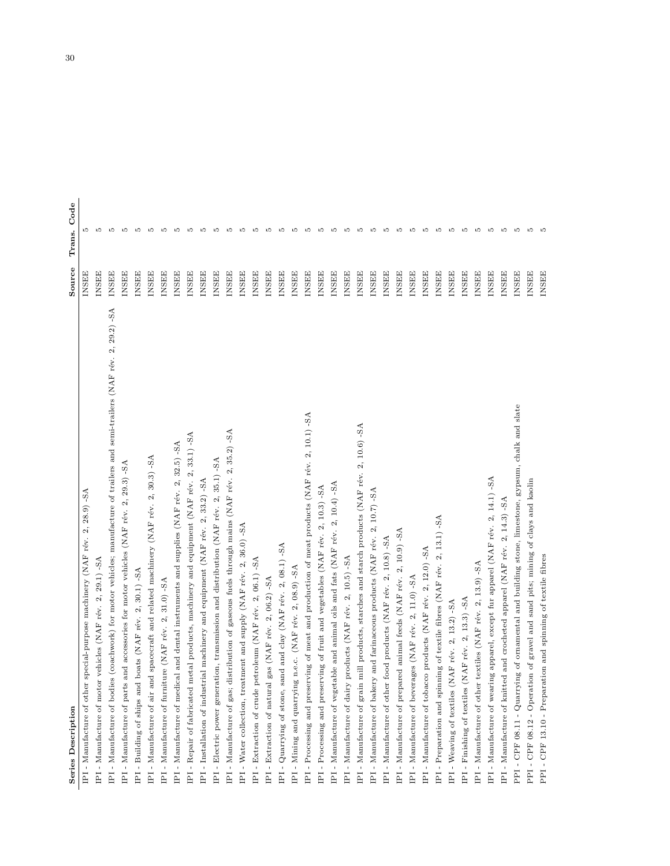| <b>Series Description</b>                                                                                                    | Source       | Code<br>Trans. |
|------------------------------------------------------------------------------------------------------------------------------|--------------|----------------|
| $2, 28.9$ ) -SA<br>special-purpose machinery (NAF rév.<br>IPI - Manufacture of other                                         | <b>INSEE</b> | r              |
| $29.1) - SA$<br>$\infty$<br>IPI - Manufacture of motor vehicles (NAF rév.                                                    | INSEE        |                |
| IPI - Manufacture of bodies (coachwork) for motor vehicles; manufacture of trailers and semi-trailers (NAF rév. 2, 29.2) -SA | INSEE        | P.             |
| $-5A$<br>2, 29.3<br>IPI - Manufacture of parts and accessories for motor vehicles (NAF rév.                                  | <b>INSEE</b> | Ľ              |
| IPI - Building of ships and boats (NAF rév. 2, 30.1) -SA                                                                     | <b>INSEE</b> | P.             |
| IPI - Manufacture of air and spacecraft and related machinery (NAF rév. 2, 30.3) - $8A$                                      | <b>INSEE</b> | Ľ              |
| IPI - Manufacture of furniture (NAF rév. 2, 31.0) -SA                                                                        | <b>INSEE</b> | LO             |
| IPI - Manufacture of medical and dental instruments and supplies (NAF rév. 2, 32.5) -SA                                      | <b>INSEE</b> | Ľ              |
| metal products, machinery and equipment (NAF rév. 2, 33.1) -SA<br>IPI - Repair of fabricated                                 | <b>INSEE</b> | LO             |
| IPI - Installation of industrial machinery and equipment (NAF rév. 2, 33.2) -SA                                              | <b>INSEE</b> | LO             |
| IPI - Electric power generation, transmission and distribution (NAF rév. 2, 35.1) -SA                                        | <b>INSEE</b> | LO             |
| distribution of gaseous fuels through mains (NAF rév. 2, 35.2) -SA<br>IPI - Manufacture of gas;                              | <b>INSEE</b> | LO             |
| IPI - Water collection, treatment and supply (NAF rév. 2, 36.0) -SA                                                          | <b>INSEE</b> | Ľ              |
| IPI - Extraction of crude petroleum (NAF rév. 2, 06.1) -SA                                                                   | <b>INSEE</b> | LO             |
| IPI - Extraction of natural gas (NAF rév. 2, 06.2) -SA                                                                       | INSEE        | LO             |
| IPI - Quarrying of stone, sand and clay (NAF rév. 2, 08.1) -SA                                                               | <b>INSEE</b> | LO             |
| IPI - Mining and quarrying n.e.c. (NAF rév. 2, 08.9) - SA                                                                    | INSEE        | Ľ              |
| IPI - Processing and preserving of meat and production of meat products (NAF rév. 2, 10.1) -SA                               | <b>INSEE</b> | LO             |
| IPI - Processing and preserving of fruit and vegetables (NAF rév. 2, 10.3) -SA                                               | <b>INSEE</b> | Ľ              |
| IPI - Manufacture of vegetable and animal oils and fats (NAF rév. 2, 10.4) -SA                                               | <b>INSEE</b> | LO             |
| $-SA$<br>IPI - Manufacture of dairy products (NAF rév. 2, 10.5)                                                              | INSEE        | LO             |
| grain mill products, starches and starch products (NAF rév. 2, 10.6) -SA<br>$\mathtt{IPI}$ - Manufacture of                  | <b>INSEE</b> | Ľ              |
| 2, 10.7) - SA<br>IPI - Manufacture of bakery and farinaceous products (NAF rév.                                              | <b>INSEE</b> | Ľ              |
| IPI - Manufacture of other food products (NAF rév. 2, 10.8) -SA                                                              | <b>INSEE</b> | LO             |
| $2, 10.9$ ) -SA<br>IPI - Manufacture of prepared animal feeds (NAF rév.                                                      | <b>INSEE</b> | Ľ              |
| IPI - Manufacture of beverages (NAF rév. 2, 11.0) -SA                                                                        | <b>INSEE</b> | Ľ              |
| IPI - Manufacture of tobacco products (NAF rév. 2, 12.0) -SA                                                                 | <b>INSEE</b> | LO             |
| IPI - Preparation and spinning of textile fibres (NAF rév. 2, 13.1) -SA                                                      | <b>INSEE</b> | S              |
| IPI - Weaving of textiles (NAF rév. 2, 13.2) -SA                                                                             | <b>INSEE</b> | S              |
| (NAF rév. 2, 13.3) - SA<br>$\text{IPI}$ - Finishing of textiles                                                              | <b>INSEE</b> | S              |
| IPI - Manufacture of other textiles (NAF rév. 2, 13.9) -SA                                                                   | <b>INSEE</b> | S              |
| IPI - Manufacture of wearing apparel, except fur apparel (NAF rév. 2, 14.1) -SA                                              | <b>INSEE</b> | P.             |
| IPI - Manufacture of knitted and crocheted apparel (NAF rév. 2, 14.3) -SA                                                    | <b>INSEE</b> | P.             |
| PPI - CPF 08.11 - Quarrying of ornamental and building stone, limestone, gypsum, chalk and slate                             | <b>INSEE</b> | P.             |
| PPI - CPF 08.12 - Operation of gravel and sand pits; mining of clays and kaolin                                              | <b>INSEE</b> | 5              |
| ation and spinning of textile fibres<br>PPI - CPF 13.10 - Prepara                                                            | INSEE        |                |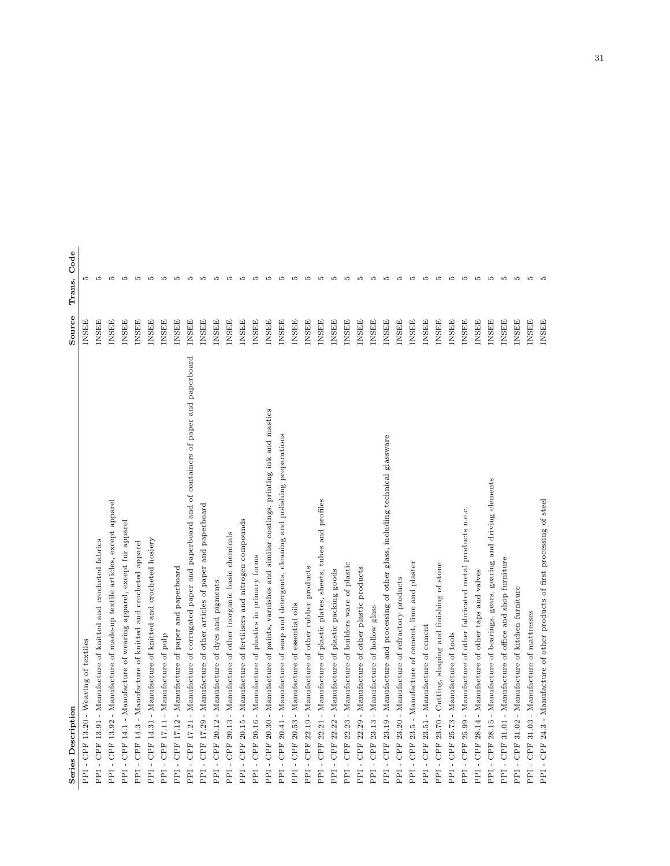| Series Description                                                                                             | Source       | Code<br>Trans. |
|----------------------------------------------------------------------------------------------------------------|--------------|----------------|
| - CPF 13.20 - Weaving of textiles<br>PPI                                                                       | <b>INSEE</b> | P.             |
| - Manufacture of knitted and crocheted fabrics<br>$-$ CPF 13.91<br>FPI                                         | <b>INSEE</b> | ъo             |
| - CPF 13.92 - Manufacture of made-up textile articles, except apparel<br>EE                                    | <b>INSEE</b> | <b>LO</b>      |
| - CPF 14.1 - Manufacture of wearing apparel, except fur apparel<br>PPI                                         | <b>INSEE</b> | <b>LO</b>      |
| - CPF 14.3 - Manufacture of knitted and crocheted apparel<br>PFI                                               | <b>INSEE</b> | <b>LO</b>      |
| - Manufacture of knitted and crocheted hosiery<br>$-$ CPF 14.31<br>PFI                                         | <b>INSEE</b> | <b>LO</b>      |
| - Manufacture of pulp<br>$-$ CPF 17.11<br>FPI                                                                  | <b>INSEE</b> | <b>LO</b>      |
| - Manufacture of paper and paperboard<br>$-$ CPF 17.12<br>FPI                                                  | <b>INSEE</b> | <b>LC</b>      |
| - Manufacture of corrugated paper and paperboard and of containers of paper and paperboard<br>CPF 17.21<br>PPI | <b>INSEE</b> | <b>LO</b>      |
| - CPF 17.29 - Manufacture of other articles of paper and paperboard<br>Edd                                     | <b>INSEE</b> | P.             |
| - CPF 20.12 - Manufacture of dyes and pigments<br>EE                                                           | <b>INSEE</b> | Ю              |
| - CPF 20.13 - Manufacture of other inorganic basic chemicals<br>FPI                                            | <b>INSEE</b> | P.             |
| - CPF 20.15 - Manufacture of fertilisers and nitrogen compounds<br>PPI                                         | <b>INSEE</b> | <b>LC</b>      |
| - CPF 20.16 - Manufacture of plastics in primary forms<br>PPI                                                  | <b>INSEE</b> | <b>LC</b>      |
| - CPF 20.30 - Manufacture of paints, varnishes and similar coatings, printing ink and mastics<br>PPI           | <b>INSEE</b> | <b>LO</b>      |
| - CPF 20.41 - Manufacture of soap and detergents, cleaning and polishing preparations<br>PPI                   | <b>INSEE</b> | <b>LO</b>      |
| - CPF 20.53 - Manufacture of essential oils<br>PPI                                                             | <b>INSEE</b> | <b>LC</b>      |
| - CPF 22.19 - Manufacture of other rubber products<br>Edd                                                      | <b>INSEE</b> | <b>LO</b>      |
| - CPF 22.21 - Manufacture of plastic plates, sheets, tubes and profiles<br>Edd                                 | <b>INSEE</b> | <b>LO</b>      |
| - CPF 22.22 - Manufacture of plastic packing goods<br>Edd                                                      | <b>INSEE</b> | <b>LO</b>      |
| - CPF 22.23 - Manufacture of builders ware of plastic<br>PPI                                                   | <b>INSEE</b> | <b>LC</b>      |
| - CPF 22.29 - Manufacture of other plastic products<br>PPI                                                     | <b>INSEE</b> | <b>LC</b>      |
| - CPF 23.13 - Manufacture of hollow glass<br>PPI                                                               | <b>INSEE</b> | <b>LC</b>      |
| - CPF 23.19 - Manufacture and processing of other glass, including technical glassware<br>PPI                  | <b>INSEE</b> | <b>LC</b>      |
| - CPF 23.20 - Manufacture of refractory products<br>PPI                                                        | <b>INSEE</b> | <b>LC</b>      |
| - CPF 23.5 - Manufacture of cement, lime and plaster<br>PPI                                                    | <b>INSEE</b> | <b>LC</b>      |
| - CPF 23.51 - Manufacture of cement<br>Edd                                                                     | <b>INSEE</b> | <b>LC</b>      |
| - CPF 23.70 - Cutting, shaping and finishing of stone<br>Edd                                                   | <b>INSEE</b> | P.             |
| - CPF 25.73 - Manufacture of tools<br>PPI                                                                      | <b>INSEE</b> | <b>LC</b>      |
| - CPF 25.99 - Manufacture of other fabricated metal products n.e.c.<br>PPI                                     | <b>INSEE</b> | ıΩ             |
| - CPF 28.14 - Manufacture of other taps and valves<br>PPI                                                      | <b>INSEE</b> | ıΩ             |
| - CPF 28.15 - Manufacture of bearings, gears, gearing and driving elements<br>PPI                              | <b>INSEE</b> | P.             |
| - CPF 31.01 - Manufacture of office and shop furniture<br>PPI                                                  | <b>INSEE</b> | P.             |
| - CPF 31.02 - Manufacture of kitchen furniture<br>PPI                                                          | <b>INSEE</b> | P.             |
| - CPF 31.03 - Manufacture of mattresses<br>PPI                                                                 | <b>INSEE</b> | P.             |
| PPI - CPF 24.3 - Manufacture of other products of first processing of steel                                    | <b>INSEE</b> | LΩ             |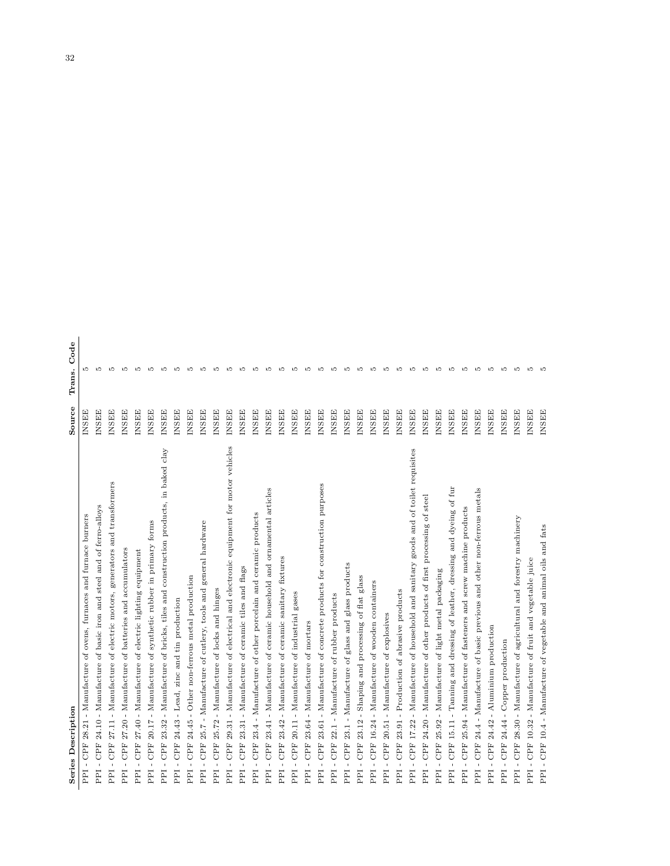| <b>Series Description</b>                                                                                       | Source       | Code<br>Trans. |
|-----------------------------------------------------------------------------------------------------------------|--------------|----------------|
| - Manufacture of ovens, furnaces and furnace burners<br>28.21<br>CPF<br>$\mathbf{I}$<br>Edd                     | INSEE        | S              |
| - Manufacture of basic iron and steel and of ferro-alloys<br>24.10<br><b>CPF</b><br>$\mathbf I$<br>PPI          | <b>INSEE</b> | S              |
| generators and transformers<br>- Manufacture of electric motors,<br>27.11<br>CPF<br>$\mathbf I$<br>PPI          | <b>INSEE</b> | 5              |
| 27.20 - Manufacture of batteries and accumulators<br>CPF<br>$\mathbf{I}$<br>FEI                                 | INSEE        | 5              |
| 27.40 - Manufacture of electric lighting equipment<br>CPF<br>$\overline{1}$<br>PPI                              | <b>INSEE</b> | <b>LO</b>      |
| 20.17 - Manufacture of synthetic rubber in primary forms<br>CPF<br>$\mathbf{I}$<br>PPI                          | INSEE        | 5              |
| 23.32 - Manufacture of bricks, tiles and construction products, in baked clay<br>CPF<br>$\mathbf{I}$<br>FPI     | <b>INSEE</b> | r.             |
| 24.43 - Lead, zinc and tin production<br><b>CPF</b><br>$\mathbf{I}$<br>PPI                                      | <b>INSEE</b> | P.             |
| 24.45 - Other non-ferrous metal production<br><b>CPF</b><br>$\mathbf I$<br>EEq                                  | <b>INSEE</b> | P.             |
| 25.7 - Manufacture of cutlery, tools and general hardware<br>CPF <sub></sub><br>$\overline{\phantom{a}}$<br>PPI | <b>INSEE</b> | S              |
| 25.72 - Manufacture of locks and hinges<br><b>CPF</b><br>$\mathbf I$<br>PPI                                     | <b>INSEE</b> | P.             |
| - Manufacture of electrical and electronic equipment for motor vehicles<br>29.31<br>CPF<br>$\mathbf I$<br>EE    | <b>INSEE</b> | P.             |
| - Manufacture of ceramic tiles and flags<br>23.31<br>CPF<br>$\overline{1}$<br>PPI                               | <b>INSEE</b> | 5              |
| Manufacture of other porcelain and ceramic products<br>$23.4 -$<br>CPF<br>$\mathbf{I}$<br>PPI                   | <b>INSEE</b> | 5              |
| - Manufacture of ceramic household and ornamental articles<br>23.41<br>CPF<br>$\mathbf I$<br>Ldd                | <b>INSEE</b> | P.             |
| 23.42 - Manufacture of ceramic sanitary fixtures<br><b>CPF</b><br>$\mathbf I$<br>PPI                            | <b>INSEE</b> | <b>LC</b>      |
| 20.11 - Manufacture of industrial gases<br>CPF<br>$\mathbf{I}$<br>Edd                                           | <b>INSEE</b> | P.             |
| 23.64 - Manufacture of mortars<br><b>CPF</b><br>$\mathbf I$<br>PPI                                              | <b>INSEE</b> | LO.            |
| 23.61 - Manufacture of concrete products for construction purposes<br><b>CPF</b><br>$\mathbf{I}$<br>Eqd         | <b>INSEE</b> | 5              |
| 22.1 - Manufacture of rubber products<br><b>CPF</b><br>$\mathbf I$<br>PPI                                       | INSEE        | 5              |
| 23.1 - Manufacture of glass and glass products<br>CPF<br>$\mathbf{I}$<br>PPI                                    | INSEE        | 5              |
| - Shaping and processing of flat glass<br>23.12<br>CPF<br>$\mathbf{I}$<br>PPI                                   | <b>INSEE</b> | 5              |
| 16.24 - Manufacture of wooden containers<br>CPF<br>$\mathbf{I}$<br>PPI                                          | <b>INSEE</b> | P.             |
| - Manufacture of explosives<br>20.51<br>CPF<br>$\mathbf{I}$<br>PPI                                              | INSEE        | P.             |
| - Production of abrasive products<br>23.91<br>CPF<br>$\mathbf I$<br>EEq                                         | <b>INSEE</b> | r.             |
| - Manufacture of household and sanitary goods and of toilet requisites<br>17.22<br>CPF<br>$\mathbf{I}$<br>PPI   | <b>INSEE</b> | P.             |
| steel<br>$\sigma$ f<br>24.20 - Manufacture of other products of first processing<br>CPF<br>$\mathbf I$<br>EEI   | <b>INSEE</b> | 5              |
| - Manufacture of light metal packaging<br>25.92<br><b>CPF</b><br>$\mathbf I$<br>EEI                             | <b>INSEE</b> | P.             |
| fur<br>- Tanning and dressing of leather, dressing and dyeing of<br>15.11<br><b>CPF</b><br>$\mathbf{I}$<br>Edd  | <b>INSEE</b> | P.             |
| 25.94 - Manufacture of fasteners and screw machine products<br><b>CPF</b><br>$\mathbf{I}$<br>Edd                | <b>INSEE</b> | P.             |
| 24.4 - Manufacture of basic previous and other non-ferrous metals<br><b>CPF</b><br>$\,$<br>Edd                  | <b>INSEE</b> | P.             |
| 24.42 - Aluminium production<br>CPF<br>$\mathbf{I}$<br>EEq                                                      | <b>INSEE</b> | P.             |
| 24.44 - Copper production<br>CPF<br>$\mathbf{I}$<br>EEq                                                         | <b>INSEE</b> | P.             |
| 28.30 - Manufacture of agricultural and forestry machinery<br>CPF<br>$\mathbf I$<br>PPI                         | <b>INSEE</b> | P.             |
| CPF 10.32 - Manufacture of fruit and vegetable juice<br>$\mathbf I$<br>PPI                                      | <b>INSEE</b> | S              |
| - CPF 10.4 - Manufacture of vegetable and animal oils and fats<br>PPI                                           | <b>INSEE</b> | LO.            |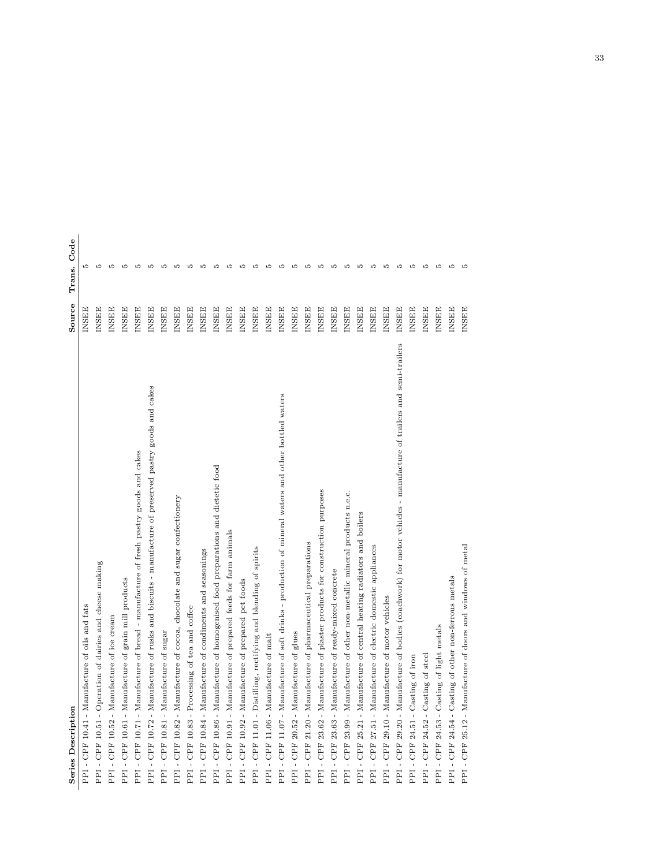| <b>Series Description</b>                                                                                          | Source       | Code<br>Trans. |
|--------------------------------------------------------------------------------------------------------------------|--------------|----------------|
| - CPF 10.41 - Manufacture of oils and fats<br>PPI                                                                  | <b>INSEE</b> | P.             |
| PPI - CPF 10.51 - Operation of dairies and cheese making                                                           | <b>INSEE</b> | <b>LO</b>      |
| PPI - CPF 10.52 - Manufacture of ice cream                                                                         | <b>INSEE</b> | ю              |
| - CPF 10.61 - Manufacture of grain mill products<br>PPI                                                            | <b>NSEE</b>  | LQ             |
| PPI - CPF 10.71 - Manufacture of bread - manufacture of fresh pastry goods and cakes                               | <b>INSEE</b> | <b>LO</b>      |
| - CPF 10.72 - Manufacture of rusks and biscuits - manufacture of preserved pastry goods and cakes<br>PPI           | <b>INSEE</b> | Ľ              |
| PPI - CPF 10.81 - Manufacture of sugar                                                                             | <b>INSEE</b> | $\Omega$       |
| PPI - CPF 10.82 - Manufacture of cocoa, chocolate and sugar confectionery                                          | <b>INSEE</b> |                |
| PPI - CPF 10.83 - Processing of tea and coffee                                                                     | <b>INSEE</b> | $\Omega$       |
| PPI - CPF 10.84 - Manufacture of condiments and seasonings                                                         | <b>INSEE</b> |                |
| - CPF 10.86 - Manufacture of homogenised food preparations and dietetic food<br>PPI                                | <b>INSEE</b> |                |
| PPI - CPF 10.91 - Manufacture of prepared feeds for farm animals                                                   | <b>INSEE</b> | ١O             |
| PPI - CPF 10.92 - Manufacture of prepared pet foods                                                                | <b>INSEE</b> |                |
| PPI-CPF 11.01 - Distilling, rectifying and blending of spirits                                                     | <b>INSEE</b> | Ľ              |
| PPI - CPF 11.06 - Manufacture of malt                                                                              | <b>INSEE</b> | LC             |
| - CPF 11.07 - Manufacture of soft drinks - production of mineral waters and other bottled waters<br>PPI            | <b>INSEE</b> |                |
| PPI - CPF 20.52 - Manufacture of glues                                                                             | <b>INSEE</b> | $\Omega$       |
| PPI - CPF 21.20 - Manufacture of pharmaceutical preparations                                                       | <b>INSEE</b> |                |
| - CPF 23.62 - Manufacture of plaster products for construction purposes<br>PPI                                     | <b>INSEE</b> | ١O             |
| PPI - CPF 23.63 - Manufacture of ready-mixed concrete                                                              | <b>INSEE</b> |                |
| - CPF 23.99 - Manufacture of other non-metallic mineral products n.e.c.<br>PPI                                     | <b>INSEE</b> |                |
| PPI - CPF 25.21 - Manufacture of central heating radiators and boilers                                             | <b>INSEE</b> | Ľ              |
| PPI - CPF 27.51 - Manufacture of electric domestic appliances                                                      | <b>INSEE</b> | Ľ              |
| PPI - CPF 29.10 - Manufacture of motor vehicles                                                                    | <b>INSEE</b> | $\Omega$       |
| PPI - CPF 29.20 - Manufacture of bodies (coachwork) for motor vehicles - manufacture of trailers and semi-trailers | <b>INSEE</b> | LO             |
| - CPF 24.51 - Casting of iron<br>PPI                                                                               | <b>INSEE</b> | LC             |
| PPI - CPF 24.52 - Casting of steel                                                                                 | <b>INSEE</b> | $\Omega$       |
| PPI - CPF 24.53 - Casting of light metals                                                                          | <b>INSEE</b> | ю              |
| PPI - CPF 24.54 - Casting of other non-ferrous metals                                                              | <b>INSEE</b> | ю              |
| PPI - CPF 25.12 - Manufacture of doors and windows of metal                                                        | <b>INSEE</b> |                |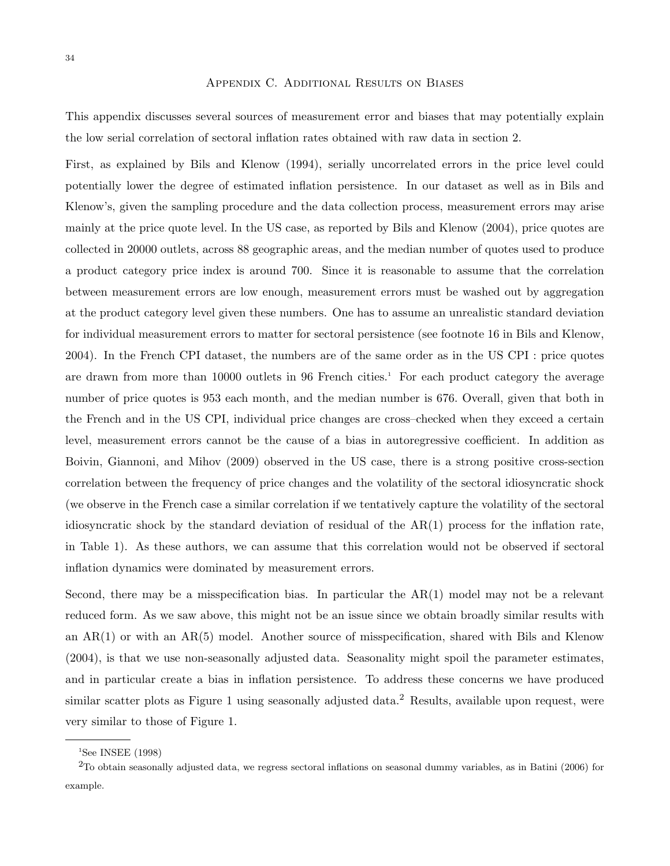#### Appendix C. Additional Results on Biases

This appendix discusses several sources of measurement error and biases that may potentially explain the low serial correlation of sectoral inflation rates obtained with raw data in section 2.

First, as explained by Bils and Klenow (1994), serially uncorrelated errors in the price level could potentially lower the degree of estimated inflation persistence. In our dataset as well as in Bils and Klenow's, given the sampling procedure and the data collection process, measurement errors may arise mainly at the price quote level. In the US case, as reported by Bils and Klenow (2004), price quotes are collected in 20000 outlets, across 88 geographic areas, and the median number of quotes used to produce a product category price index is around 700. Since it is reasonable to assume that the correlation between measurement errors are low enough, measurement errors must be washed out by aggregation at the product category level given these numbers. One has to assume an unrealistic standard deviation for individual measurement errors to matter for sectoral persistence (see footnote 16 in Bils and Klenow, 2004). In the French CPI dataset, the numbers are of the same order as in the US CPI : price quotes are drawn from more than 10000 outlets in 96 French cities.<sup>1</sup> For each product category the average number of price quotes is 953 each month, and the median number is 676. Overall, given that both in the French and in the US CPI, individual price changes are cross–checked when they exceed a certain level, measurement errors cannot be the cause of a bias in autoregressive coefficient. In addition as Boivin, Giannoni, and Mihov (2009) observed in the US case, there is a strong positive cross-section correlation between the frequency of price changes and the volatility of the sectoral idiosyncratic shock (we observe in the French case a similar correlation if we tentatively capture the volatility of the sectoral idiosyncratic shock by the standard deviation of residual of the AR(1) process for the inflation rate, in Table 1). As these authors, we can assume that this correlation would not be observed if sectoral inflation dynamics were dominated by measurement errors.

Second, there may be a misspecification bias. In particular the AR(1) model may not be a relevant reduced form. As we saw above, this might not be an issue since we obtain broadly similar results with an  $AR(1)$  or with an  $AR(5)$  model. Another source of misspecification, shared with Bils and Klenow (2004), is that we use non-seasonally adjusted data. Seasonality might spoil the parameter estimates, and in particular create a bias in inflation persistence. To address these concerns we have produced similar scatter plots as Figure 1 using seasonally adjusted data.<sup>2</sup> Results, available upon request, were very similar to those of Figure 1.

 $1$ See INSEE (1998)

 $2$ To obtain seasonally adjusted data, we regress sectoral inflations on seasonal dummy variables, as in Batini (2006) for example.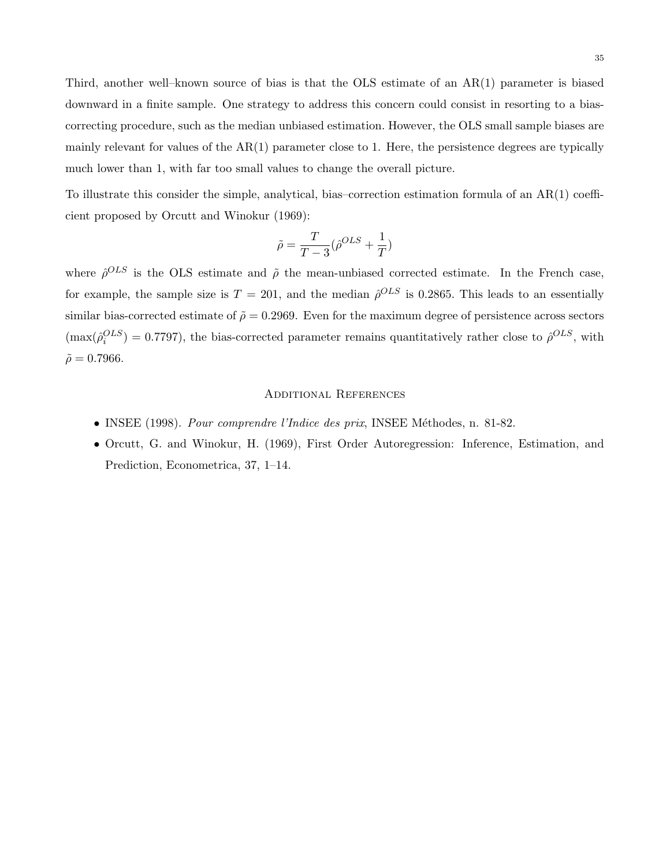Third, another well–known source of bias is that the OLS estimate of an AR(1) parameter is biased downward in a finite sample. One strategy to address this concern could consist in resorting to a biascorrecting procedure, such as the median unbiased estimation. However, the OLS small sample biases are mainly relevant for values of the  $AR(1)$  parameter close to 1. Here, the persistence degrees are typically much lower than 1, with far too small values to change the overall picture.

To illustrate this consider the simple, analytical, bias–correction estimation formula of an AR(1) coefficient proposed by Orcutt and Winokur (1969):

$$
\tilde{\rho}=\frac{T}{T-3}(\hat{\rho}^{OLS}+\frac{1}{T})
$$

where  $\hat{\rho}^{OLS}$  is the OLS estimate and  $\tilde{\rho}$  the mean-unbiased corrected estimate. In the French case, for example, the sample size is  $T = 201$ , and the median  $\hat{\rho}^{OLS}$  is 0.2865. This leads to an essentially similar bias-corrected estimate of  $\tilde{\rho} = 0.2969$ . Even for the maximum degree of persistence across sectors  $(\max(\hat{\rho}_i^{OLS}) = 0.7797)$ , the bias-corrected parameter remains quantitatively rather close to  $\hat{\rho}^{OLS}$ , with  $\tilde{\rho} = 0.7966$ .

#### Additional References

- INSEE (1998). Pour comprendre l'Indice des prix, INSEE Méthodes, n. 81-82.
- Orcutt, G. and Winokur, H. (1969), First Order Autoregression: Inference, Estimation, and Prediction, Econometrica, 37, 1–14.